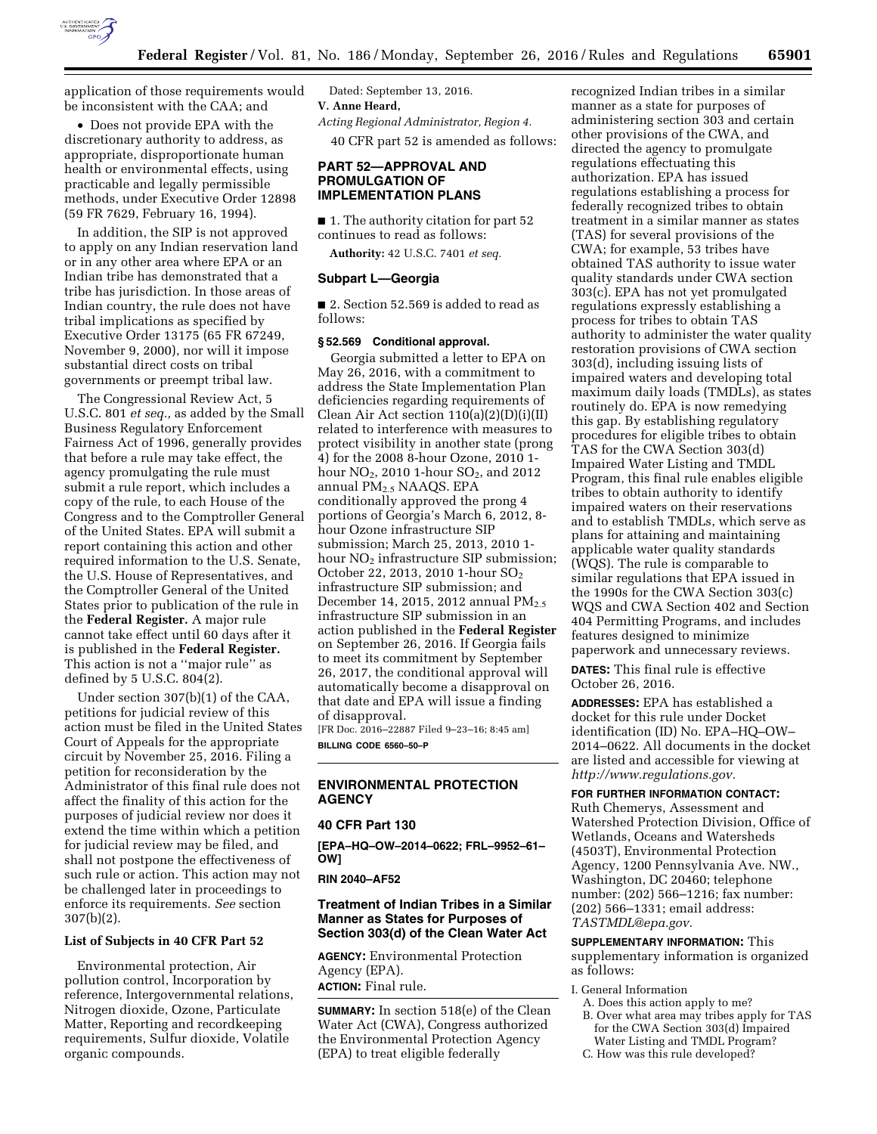

application of those requirements would be inconsistent with the CAA; and

• Does not provide EPA with the discretionary authority to address, as appropriate, disproportionate human health or environmental effects, using practicable and legally permissible methods, under Executive Order 12898 (59 FR 7629, February 16, 1994).

In addition, the SIP is not approved to apply on any Indian reservation land or in any other area where EPA or an Indian tribe has demonstrated that a tribe has jurisdiction. In those areas of Indian country, the rule does not have tribal implications as specified by Executive Order 13175 (65 FR 67249, November 9, 2000), nor will it impose substantial direct costs on tribal governments or preempt tribal law.

The Congressional Review Act, 5 U.S.C. 801 *et seq.,* as added by the Small Business Regulatory Enforcement Fairness Act of 1996, generally provides that before a rule may take effect, the agency promulgating the rule must submit a rule report, which includes a copy of the rule, to each House of the Congress and to the Comptroller General of the United States. EPA will submit a report containing this action and other required information to the U.S. Senate, the U.S. House of Representatives, and the Comptroller General of the United States prior to publication of the rule in the **Federal Register.** A major rule cannot take effect until 60 days after it is published in the **Federal Register.**  This action is not a ''major rule'' as defined by 5 U.S.C. 804(2).

Under section 307(b)(1) of the CAA, petitions for judicial review of this action must be filed in the United States Court of Appeals for the appropriate circuit by November 25, 2016. Filing a petition for reconsideration by the Administrator of this final rule does not affect the finality of this action for the purposes of judicial review nor does it extend the time within which a petition for judicial review may be filed, and shall not postpone the effectiveness of such rule or action. This action may not be challenged later in proceedings to enforce its requirements. *See* section 307(b)(2).

#### **List of Subjects in 40 CFR Part 52**

Environmental protection, Air pollution control, Incorporation by reference, Intergovernmental relations, Nitrogen dioxide, Ozone, Particulate Matter, Reporting and recordkeeping requirements, Sulfur dioxide, Volatile organic compounds.

Dated: September 13, 2016. **V. Anne Heard,** 

*Acting Regional Administrator, Region 4.* 

40 CFR part 52 is amended as follows:

## **PART 52—APPROVAL AND PROMULGATION OF IMPLEMENTATION PLANS**

■ 1. The authority citation for part 52 continues to read as follows:

**Authority:** 42 U.S.C. 7401 *et seq.* 

### **Subpart L—Georgia**

■ 2. Section 52.569 is added to read as follows:

#### **§ 52.569 Conditional approval.**

Georgia submitted a letter to EPA on May 26, 2016, with a commitment to address the State Implementation Plan deficiencies regarding requirements of Clean Air Act section  $110(a)(2)(D)(i)(II)$ related to interference with measures to protect visibility in another state (prong 4) for the 2008 8-hour Ozone, 2010 1 hour  $NO<sub>2</sub>$ , 2010 1-hour  $SO<sub>2</sub>$ , and 2012 annual PM2.5 NAAQS. EPA conditionally approved the prong 4 portions of Georgia's March 6, 2012, 8 hour Ozone infrastructure SIP submission; March 25, 2013, 2010 1 hour  $NO<sub>2</sub>$  infrastructure SIP submission; October 22, 2013, 2010 1-hour SO2 infrastructure SIP submission; and December 14, 2015, 2012 annual  $PM_{2.5}$ infrastructure SIP submission in an action published in the **Federal Register**  on September 26, 2016. If Georgia fails to meet its commitment by September 26, 2017, the conditional approval will automatically become a disapproval on that date and EPA will issue a finding of disapproval.

[FR Doc. 2016–22887 Filed 9–23–16; 8:45 am] **BILLING CODE 6560–50–P** 

## **ENVIRONMENTAL PROTECTION AGENCY**

# **40 CFR Part 130**

**[EPA–HQ–OW–2014–0622; FRL–9952–61– OW]** 

**RIN 2040–AF52** 

## **Treatment of Indian Tribes in a Similar Manner as States for Purposes of Section 303(d) of the Clean Water Act**

**AGENCY:** Environmental Protection Agency (EPA). **ACTION:** Final rule.

**SUMMARY:** In section 518(e) of the Clean Water Act (CWA), Congress authorized the Environmental Protection Agency (EPA) to treat eligible federally

recognized Indian tribes in a similar manner as a state for purposes of administering section 303 and certain other provisions of the CWA, and directed the agency to promulgate regulations effectuating this authorization. EPA has issued regulations establishing a process for federally recognized tribes to obtain treatment in a similar manner as states (TAS) for several provisions of the CWA; for example, 53 tribes have obtained TAS authority to issue water quality standards under CWA section 303(c). EPA has not yet promulgated regulations expressly establishing a process for tribes to obtain TAS authority to administer the water quality restoration provisions of CWA section 303(d), including issuing lists of impaired waters and developing total maximum daily loads (TMDLs), as states routinely do. EPA is now remedying this gap. By establishing regulatory procedures for eligible tribes to obtain TAS for the CWA Section 303(d) Impaired Water Listing and TMDL Program, this final rule enables eligible tribes to obtain authority to identify impaired waters on their reservations and to establish TMDLs, which serve as plans for attaining and maintaining applicable water quality standards (WQS). The rule is comparable to similar regulations that EPA issued in the 1990s for the CWA Section 303(c) WQS and CWA Section 402 and Section 404 Permitting Programs, and includes features designed to minimize paperwork and unnecessary reviews.

**DATES:** This final rule is effective October 26, 2016.

**ADDRESSES:** EPA has established a docket for this rule under Docket identification (ID) No. EPA–HQ–OW– 2014–0622. All documents in the docket are listed and accessible for viewing at *[http://www.regulations.gov.](http://www.regulations.gov)* 

#### **FOR FURTHER INFORMATION CONTACT:**

Ruth Chemerys, Assessment and Watershed Protection Division, Office of Wetlands, Oceans and Watersheds (4503T), Environmental Protection Agency, 1200 Pennsylvania Ave. NW., Washington, DC 20460; telephone number: (202) 566–1216; fax number: (202) 566–1331; email address: *[TASTMDL@epa.gov.](mailto:TASTMDL@epa.gov)* 

# **SUPPLEMENTARY INFORMATION:** This

supplementary information is organized as follows:

- I. General Information
	- A. Does this action apply to me?
	- B. Over what area may tribes apply for TAS for the CWA Section 303(d) Impaired Water Listing and TMDL Program?
	- C. How was this rule developed?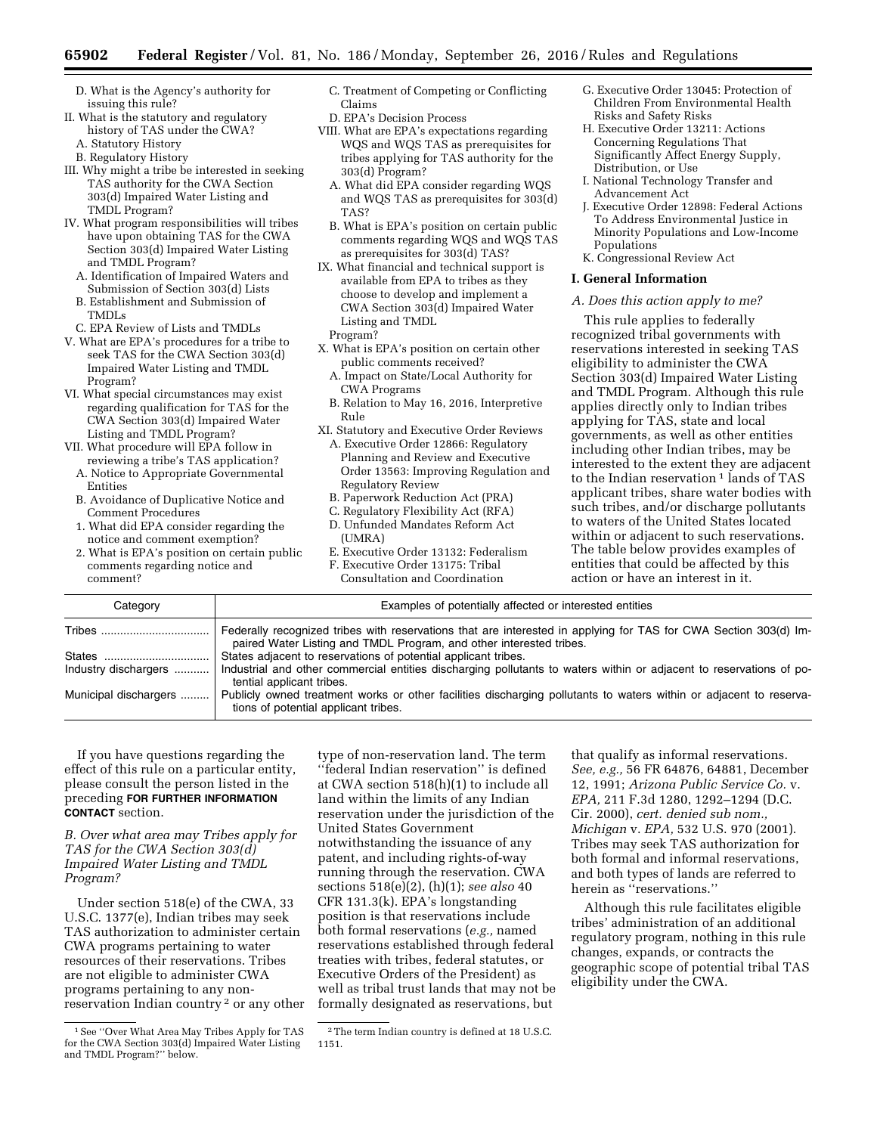- D. What is the Agency's authority for issuing this rule?
- II. What is the statutory and regulatory history of TAS under the CWA?
	- A. Statutory History
	- B. Regulatory History
- III. Why might a tribe be interested in seeking TAS authority for the CWA Section 303(d) Impaired Water Listing and TMDL Program?
- IV. What program responsibilities will tribes have upon obtaining TAS for the CWA Section 303(d) Impaired Water Listing and TMDL Program?
- A. Identification of Impaired Waters and Submission of Section 303(d) Lists
- B. Establishment and Submission of TMDLs
- C. EPA Review of Lists and TMDLs
- V. What are EPA's procedures for a tribe to seek TAS for the CWA Section 303(d) Impaired Water Listing and TMDL Program?
- VI. What special circumstances may exist regarding qualification for TAS for the CWA Section 303(d) Impaired Water Listing and TMDL Program?
- VII. What procedure will EPA follow in reviewing a tribe's TAS application?
	- A. Notice to Appropriate Governmental Entities
	- B. Avoidance of Duplicative Notice and Comment Procedures
	- 1. What did EPA consider regarding the notice and comment exemption?
	- 2. What is EPA's position on certain public comments regarding notice and comment?
- C. Treatment of Competing or Conflicting Claims
- D. EPA's Decision Process
- VIII. What are EPA's expectations regarding WQS and WQS TAS as prerequisites for tribes applying for TAS authority for the 303(d) Program?
	- A. What did EPA consider regarding WQS and WQS TAS as prerequisites for 303(d) TAS?
	- B. What is EPA's position on certain public comments regarding WQS and WQS TAS as prerequisites for 303(d) TAS?
- IX. What financial and technical support is available from EPA to tribes as they choose to develop and implement a CWA Section 303(d) Impaired Water Listing and TMDL
- Program?
- X. What is EPA's position on certain other public comments received?
- A. Impact on State/Local Authority for CWA Programs
- B. Relation to May 16, 2016, Interpretive Rule
- XI. Statutory and Executive Order Reviews A. Executive Order 12866: Regulatory Planning and Review and Executive Order 13563: Improving Regulation and Regulatory Review
	- B. Paperwork Reduction Act (PRA)
	- C. Regulatory Flexibility Act (RFA)
- D. Unfunded Mandates Reform Act (UMRA)
- E. Executive Order 13132: Federalism
- F. Executive Order 13175: Tribal
- Consultation and Coordination
- G. Executive Order 13045: Protection of Children From Environmental Health Risks and Safety Risks
- H. Executive Order 13211: Actions Concerning Regulations That Significantly Affect Energy Supply, Distribution, or Use
- I. National Technology Transfer and Advancement Act
- J. Executive Order 12898: Federal Actions To Address Environmental Justice in Minority Populations and Low-Income Populations
- K. Congressional Review Act

### **I. General Information**

#### *A. Does this action apply to me?*

This rule applies to federally recognized tribal governments with reservations interested in seeking TAS eligibility to administer the CWA Section 303(d) Impaired Water Listing and TMDL Program. Although this rule applies directly only to Indian tribes applying for TAS, state and local governments, as well as other entities including other Indian tribes, may be interested to the extent they are adjacent to the Indian reservation<sup>1</sup> lands of TAS applicant tribes, share water bodies with such tribes, and/or discharge pollutants to waters of the United States located within or adjacent to such reservations. The table below provides examples of entities that could be affected by this action or have an interest in it.

| Category              | Examples of potentially affected or interested entities                                                                                                                                 |
|-----------------------|-----------------------------------------------------------------------------------------------------------------------------------------------------------------------------------------|
| Tribes                | Federally recognized tribes with reservations that are interested in applying for TAS for CWA Section 303(d) Im-<br>paired Water Listing and TMDL Program, and other interested tribes. |
| States                | States adjacent to reservations of potential applicant tribes.                                                                                                                          |
| Industry dischargers  | Industrial and other commercial entities discharging pollutants to waters within or adjacent to reservations of po-<br>tential applicant tribes.                                        |
| Municipal dischargers | Publicly owned treatment works or other facilities discharging pollutants to waters within or adjacent to reserva-<br>tions of potential applicant tribes.                              |

If you have questions regarding the effect of this rule on a particular entity, please consult the person listed in the preceding **FOR FURTHER INFORMATION CONTACT** section.

# *B. Over what area may Tribes apply for TAS for the CWA Section 303(d) Impaired Water Listing and TMDL Program?*

Under section 518(e) of the CWA, 33 U.S.C. 1377(e), Indian tribes may seek TAS authorization to administer certain CWA programs pertaining to water resources of their reservations. Tribes are not eligible to administer CWA programs pertaining to any nonreservation Indian country 2 or any other type of non-reservation land. The term ''federal Indian reservation'' is defined at CWA section 518(h)(1) to include all land within the limits of any Indian reservation under the jurisdiction of the United States Government notwithstanding the issuance of any patent, and including rights-of-way running through the reservation. CWA sections 518(e)(2), (h)(1); *see also* 40 CFR 131.3(k). EPA's longstanding position is that reservations include both formal reservations (*e.g.,* named reservations established through federal treaties with tribes, federal statutes, or Executive Orders of the President) as well as tribal trust lands that may not be formally designated as reservations, but

that qualify as informal reservations. *See, e.g.,* 56 FR 64876, 64881, December 12, 1991; *Arizona Public Service Co.* v. *EPA,* 211 F.3d 1280, 1292–1294 (D.C. Cir. 2000), *cert. denied sub nom., Michigan* v. *EPA,* 532 U.S. 970 (2001). Tribes may seek TAS authorization for both formal and informal reservations, and both types of lands are referred to herein as "reservations."

Although this rule facilitates eligible tribes' administration of an additional regulatory program, nothing in this rule changes, expands, or contracts the geographic scope of potential tribal TAS eligibility under the CWA.

<sup>1</sup>See ''Over What Area May Tribes Apply for TAS for the CWA Section 303(d) Impaired Water Listing and TMDL Program?'' below.

<sup>2</sup>The term Indian country is defined at 18 U.S.C. 1151.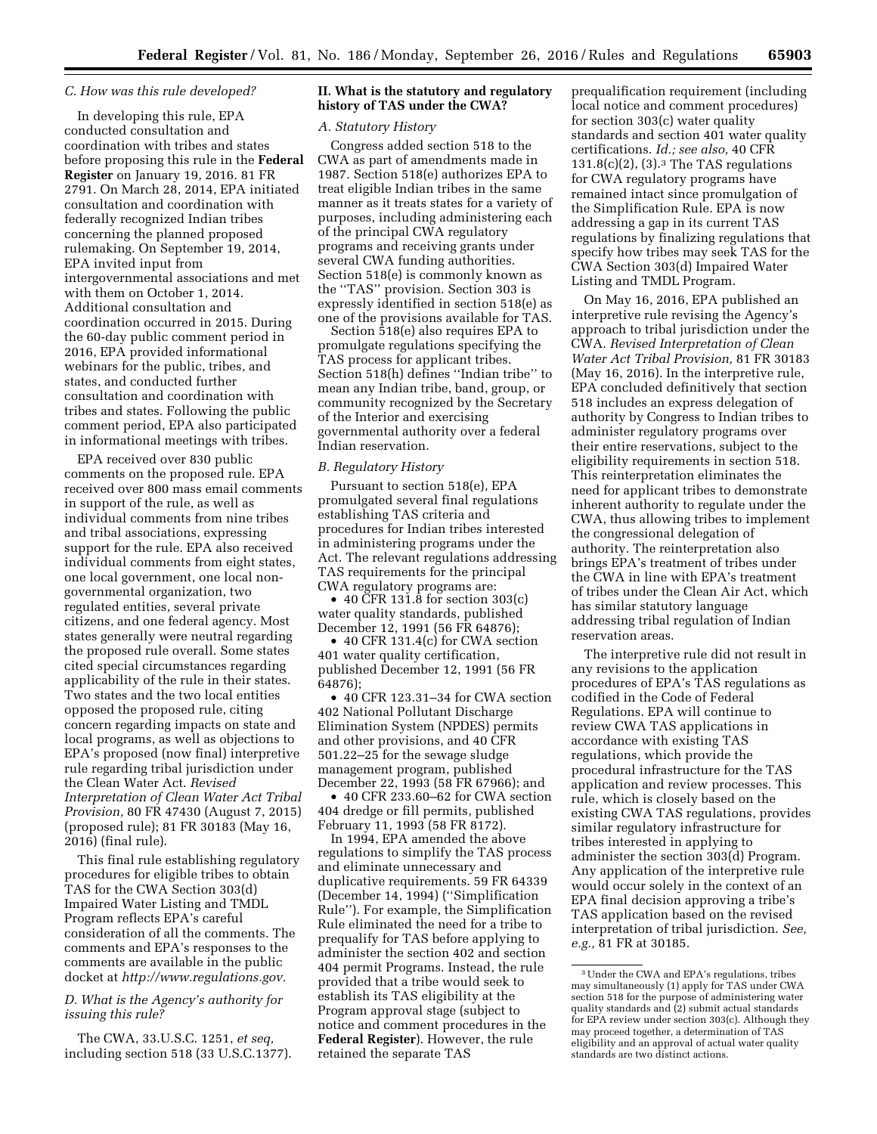### *C. How was this rule developed?*

In developing this rule, EPA conducted consultation and coordination with tribes and states before proposing this rule in the **Federal Register** on January 19, 2016. 81 FR 2791. On March 28, 2014, EPA initiated consultation and coordination with federally recognized Indian tribes concerning the planned proposed rulemaking. On September 19, 2014, EPA invited input from intergovernmental associations and met with them on October 1, 2014. Additional consultation and coordination occurred in 2015. During the 60-day public comment period in 2016, EPA provided informational webinars for the public, tribes, and states, and conducted further consultation and coordination with tribes and states. Following the public comment period, EPA also participated in informational meetings with tribes.

EPA received over 830 public comments on the proposed rule. EPA received over 800 mass email comments in support of the rule, as well as individual comments from nine tribes and tribal associations, expressing support for the rule. EPA also received individual comments from eight states, one local government, one local nongovernmental organization, two regulated entities, several private citizens, and one federal agency. Most states generally were neutral regarding the proposed rule overall. Some states cited special circumstances regarding applicability of the rule in their states. Two states and the two local entities opposed the proposed rule, citing concern regarding impacts on state and local programs, as well as objections to EPA's proposed (now final) interpretive rule regarding tribal jurisdiction under the Clean Water Act. *Revised Interpretation of Clean Water Act Tribal Provision,* 80 FR 47430 (August 7, 2015) (proposed rule); 81 FR 30183 (May 16, 2016) (final rule).

This final rule establishing regulatory procedures for eligible tribes to obtain TAS for the CWA Section 303(d) Impaired Water Listing and TMDL Program reflects EPA's careful consideration of all the comments. The comments and EPA's responses to the comments are available in the public docket at *[http://www.regulations.gov.](http://www.regulations.gov)* 

## *D. What is the Agency's authority for issuing this rule?*

The CWA, 33.U.S.C. 1251, *et seq,*  including section 518 (33 U.S.C.1377).

### **II. What is the statutory and regulatory history of TAS under the CWA?**

#### *A. Statutory History*

Congress added section 518 to the CWA as part of amendments made in 1987. Section 518(e) authorizes EPA to treat eligible Indian tribes in the same manner as it treats states for a variety of purposes, including administering each of the principal CWA regulatory programs and receiving grants under several CWA funding authorities. Section 518(e) is commonly known as the ''TAS'' provision. Section 303 is expressly identified in section 518(e) as one of the provisions available for TAS.

Section 518(e) also requires EPA to promulgate regulations specifying the TAS process for applicant tribes. Section 518(h) defines ''Indian tribe'' to mean any Indian tribe, band, group, or community recognized by the Secretary of the Interior and exercising governmental authority over a federal Indian reservation.

#### *B. Regulatory History*

Pursuant to section 518(e), EPA promulgated several final regulations establishing TAS criteria and procedures for Indian tribes interested in administering programs under the Act. The relevant regulations addressing TAS requirements for the principal CWA regulatory programs are:

• 40 CFR 131.8 for section 303(c) water quality standards, published December 12, 1991 (56 FR 64876);

• 40 CFR 131.4(c) for CWA section 401 water quality certification, published December 12, 1991 (56 FR 64876);

• 40 CFR 123.31–34 for CWA section 402 National Pollutant Discharge Elimination System (NPDES) permits and other provisions, and 40 CFR 501.22–25 for the sewage sludge management program, published December 22, 1993 (58 FR 67966); and

• 40 CFR 233.60–62 for CWA section 404 dredge or fill permits, published February 11, 1993 (58 FR 8172).

In 1994, EPA amended the above regulations to simplify the TAS process and eliminate unnecessary and duplicative requirements. 59 FR 64339 (December 14, 1994) (''Simplification Rule''). For example, the Simplification Rule eliminated the need for a tribe to prequalify for TAS before applying to administer the section 402 and section 404 permit Programs. Instead, the rule provided that a tribe would seek to establish its TAS eligibility at the Program approval stage (subject to notice and comment procedures in the **Federal Register**). However, the rule retained the separate TAS

prequalification requirement (including local notice and comment procedures) for section 303(c) water quality standards and section 401 water quality certifications. *Id.; see also,* 40 CFR 131.8(c)(2), (3).3 The TAS regulations for CWA regulatory programs have remained intact since promulgation of the Simplification Rule. EPA is now addressing a gap in its current TAS regulations by finalizing regulations that specify how tribes may seek TAS for the CWA Section 303(d) Impaired Water Listing and TMDL Program.

On May 16, 2016, EPA published an interpretive rule revising the Agency's approach to tribal jurisdiction under the CWA. *Revised Interpretation of Clean Water Act Tribal Provision,* 81 FR 30183 (May 16, 2016). In the interpretive rule, EPA concluded definitively that section 518 includes an express delegation of authority by Congress to Indian tribes to administer regulatory programs over their entire reservations, subject to the eligibility requirements in section 518. This reinterpretation eliminates the need for applicant tribes to demonstrate inherent authority to regulate under the CWA, thus allowing tribes to implement the congressional delegation of authority. The reinterpretation also brings EPA's treatment of tribes under the CWA in line with EPA's treatment of tribes under the Clean Air Act, which has similar statutory language addressing tribal regulation of Indian reservation areas.

The interpretive rule did not result in any revisions to the application procedures of EPA's TAS regulations as codified in the Code of Federal Regulations. EPA will continue to review CWA TAS applications in accordance with existing TAS regulations, which provide the procedural infrastructure for the TAS application and review processes. This rule, which is closely based on the existing CWA TAS regulations, provides similar regulatory infrastructure for tribes interested in applying to administer the section 303(d) Program. Any application of the interpretive rule would occur solely in the context of an EPA final decision approving a tribe's TAS application based on the revised interpretation of tribal jurisdiction. *See, e.g.,* 81 FR at 30185.

<sup>3</sup>Under the CWA and EPA's regulations, tribes may simultaneously (1) apply for TAS under CWA section 518 for the purpose of administering water quality standards and (2) submit actual standards for EPA review under section 303(c). Although they may proceed together, a determination of TAS eligibility and an approval of actual water quality standards are two distinct actions.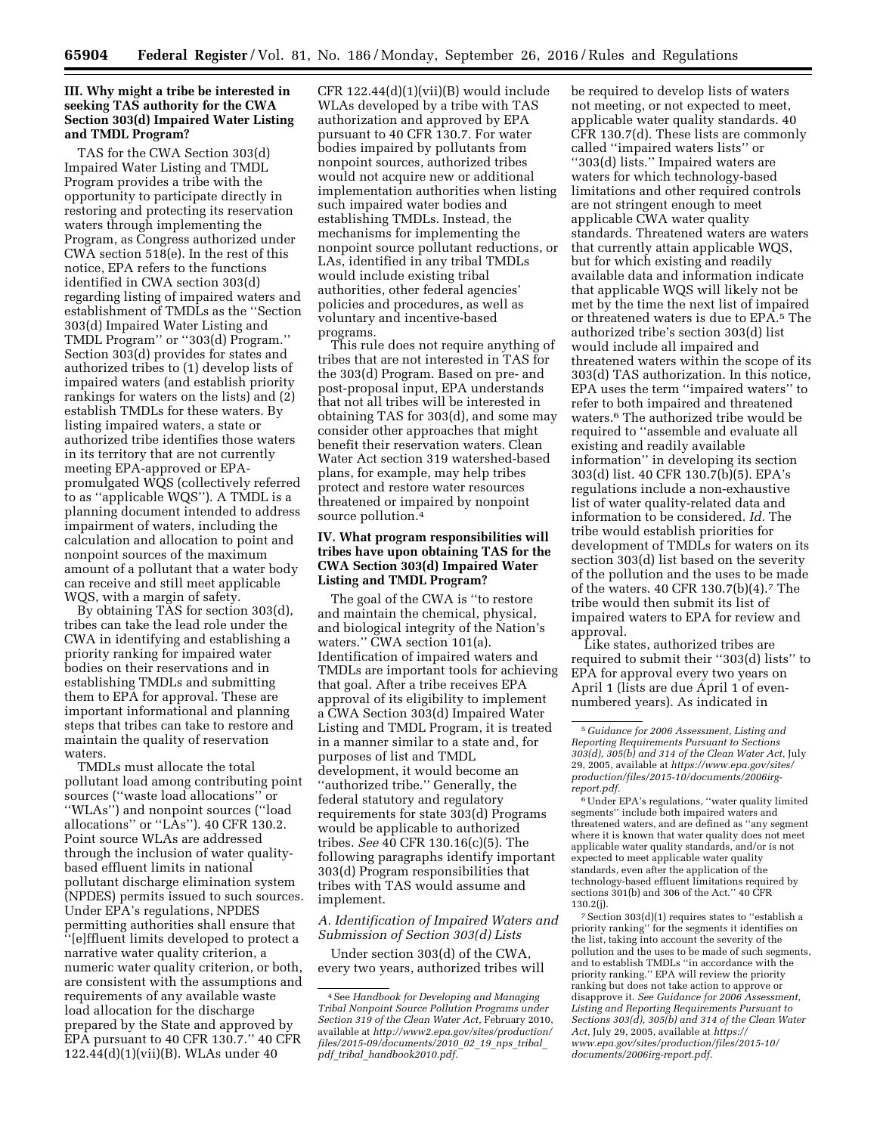## **III. Why might a tribe be interested in seeking TAS authority for the CWA Section 303(d) Impaired Water Listing and TMDL Program?**

TAS for the CWA Section 303(d) Impaired Water Listing and TMDL Program provides a tribe with the opportunity to participate directly in restoring and protecting its reservation waters through implementing the Program, as Congress authorized under CWA section 518(e). In the rest of this notice, EPA refers to the functions identified in CWA section 303(d) regarding listing of impaired waters and establishment of TMDLs as the ''Section 303(d) Impaired Water Listing and TMDL Program'' or ''303(d) Program.'' Section 303(d) provides for states and authorized tribes to (1) develop lists of impaired waters (and establish priority rankings for waters on the lists) and (2) establish TMDLs for these waters. By listing impaired waters, a state or authorized tribe identifies those waters in its territory that are not currently meeting EPA-approved or EPApromulgated WQS (collectively referred to as ''applicable WQS''). A TMDL is a planning document intended to address impairment of waters, including the calculation and allocation to point and nonpoint sources of the maximum amount of a pollutant that a water body can receive and still meet applicable WQS, with a margin of safety.

By obtaining TAS for section 303(d), tribes can take the lead role under the CWA in identifying and establishing a priority ranking for impaired water bodies on their reservations and in establishing TMDLs and submitting them to EPA for approval. These are important informational and planning steps that tribes can take to restore and maintain the quality of reservation waters.

TMDLs must allocate the total pollutant load among contributing point sources (''waste load allocations'' or ''WLAs'') and nonpoint sources (''load allocations'' or ''LAs''). 40 CFR 130.2. Point source WLAs are addressed through the inclusion of water qualitybased effluent limits in national pollutant discharge elimination system (NPDES) permits issued to such sources. Under EPA's regulations, NPDES permitting authorities shall ensure that ''[e]ffluent limits developed to protect a narrative water quality criterion, a numeric water quality criterion, or both, are consistent with the assumptions and requirements of any available waste load allocation for the discharge prepared by the State and approved by EPA pursuant to 40 CFR 130.7.'' 40 CFR 122.44(d)(1)(vii)(B). WLAs under 40

CFR  $122.44(d)(1)(vii)(B)$  would include WLAs developed by a tribe with TAS authorization and approved by EPA pursuant to 40 CFR 130.7. For water bodies impaired by pollutants from nonpoint sources, authorized tribes would not acquire new or additional implementation authorities when listing such impaired water bodies and establishing TMDLs. Instead, the mechanisms for implementing the nonpoint source pollutant reductions, or LAs, identified in any tribal TMDLs would include existing tribal authorities, other federal agencies' policies and procedures, as well as voluntary and incentive-based programs.

This rule does not require anything of tribes that are not interested in TAS for the 303(d) Program. Based on pre- and post-proposal input, EPA understands that not all tribes will be interested in obtaining TAS for 303(d), and some may consider other approaches that might benefit their reservation waters. Clean Water Act section 319 watershed-based plans, for example, may help tribes protect and restore water resources threatened or impaired by nonpoint source pollution.4

## **IV. What program responsibilities will tribes have upon obtaining TAS for the CWA Section 303(d) Impaired Water Listing and TMDL Program?**

The goal of the CWA is ''to restore and maintain the chemical, physical, and biological integrity of the Nation's waters.'' CWA section 101(a). Identification of impaired waters and TMDLs are important tools for achieving that goal. After a tribe receives EPA approval of its eligibility to implement a CWA Section 303(d) Impaired Water Listing and TMDL Program, it is treated in a manner similar to a state and, for purposes of list and TMDL development, it would become an ''authorized tribe.'' Generally, the federal statutory and regulatory requirements for state 303(d) Programs would be applicable to authorized tribes. *See* 40 CFR 130.16(c)(5). The following paragraphs identify important 303(d) Program responsibilities that tribes with TAS would assume and implement.

*A. Identification of Impaired Waters and Submission of Section 303(d) Lists* 

Under section 303(d) of the CWA, every two years, authorized tribes will

be required to develop lists of waters not meeting, or not expected to meet, applicable water quality standards. 40 CFR 130.7(d). These lists are commonly called ''impaired waters lists'' or ''303(d) lists.'' Impaired waters are waters for which technology-based limitations and other required controls are not stringent enough to meet applicable CWA water quality standards. Threatened waters are waters that currently attain applicable WQS, but for which existing and readily available data and information indicate that applicable WQS will likely not be met by the time the next list of impaired or threatened waters is due to EPA.5 The authorized tribe's section 303(d) list would include all impaired and threatened waters within the scope of its 303(d) TAS authorization. In this notice, EPA uses the term ''impaired waters'' to refer to both impaired and threatened waters.6 The authorized tribe would be required to ''assemble and evaluate all existing and readily available information'' in developing its section 303(d) list. 40 CFR 130.7(b)(5). EPA's regulations include a non-exhaustive list of water quality-related data and information to be considered. *Id.* The tribe would establish priorities for development of TMDLs for waters on its section 303(d) list based on the severity of the pollution and the uses to be made of the waters. 40 CFR 130.7(b)(4).7 The tribe would then submit its list of impaired waters to EPA for review and approval.

Like states, authorized tribes are required to submit their ''303(d) lists'' to EPA for approval every two years on April 1 (lists are due April 1 of evennumbered years). As indicated in

6Under EPA's regulations, ''water quality limited segments'' include both impaired waters and threatened waters, and are defined as ''any segment where it is known that water quality does not meet applicable water quality standards, and/or is not expected to meet applicable water quality standards, even after the application of the technology-based effluent limitations required by sections 301(b) and 306 of the Act.'' 40 CFR 130.2(j).

7Section 303(d)(1) requires states to ''establish a priority ranking'' for the segments it identifies on the list, taking into account the severity of the pollution and the uses to be made of such segments, and to establish TMDLs ''in accordance with the priority ranking.'' EPA will review the priority ranking but does not take action to approve or disapprove it. *See Guidance for 2006 Assessment, Listing and Reporting Requirements Pursuant to Sections 303(d), 305(b) and 314 of the Clean Water Act,* July 29, 2005, available at *[https://](https://www.epa.gov/sites/production/files/2015-10/documents/2006irg-report.pdf) [www.epa.gov/sites/production/files/2015-10/](https://www.epa.gov/sites/production/files/2015-10/documents/2006irg-report.pdf) [documents/2006irg-report.pdf.](https://www.epa.gov/sites/production/files/2015-10/documents/2006irg-report.pdf)* 

<sup>4</sup>See *Handbook for Developing and Managing Tribal Nonpoint Source Pollution Programs under Section 319 of the Clean Water Act,* February 2010, available at *[http://www2.epa.gov/sites/production/](http://www2.epa.gov/sites/production/files/2015-09/documents/2010_02_19_nps_tribal_pdf_tribal_handbook2010.pdf)  [files/2015-09/documents/2010](http://www2.epa.gov/sites/production/files/2015-09/documents/2010_02_19_nps_tribal_pdf_tribal_handbook2010.pdf)*\_*02*\_*19*\_*nps*\_*tribal*\_ *pdf*\_*tribal*\_*[handbook2010.pdf.](http://www2.epa.gov/sites/production/files/2015-09/documents/2010_02_19_nps_tribal_pdf_tribal_handbook2010.pdf)* 

<sup>5</sup> *Guidance for 2006 Assessment, Listing and Reporting Requirements Pursuant to Sections 303(d), 305(b) and 314 of the Clean Water Act,* July 29, 2005, available at *[https://www.epa.gov/sites/](https://www.epa.gov/sites/production/files/2015-10/documents/2006irg-report.pdf)  [production/files/2015-10/documents/2006irg](https://www.epa.gov/sites/production/files/2015-10/documents/2006irg-report.pdf)[report.pdf.](https://www.epa.gov/sites/production/files/2015-10/documents/2006irg-report.pdf)*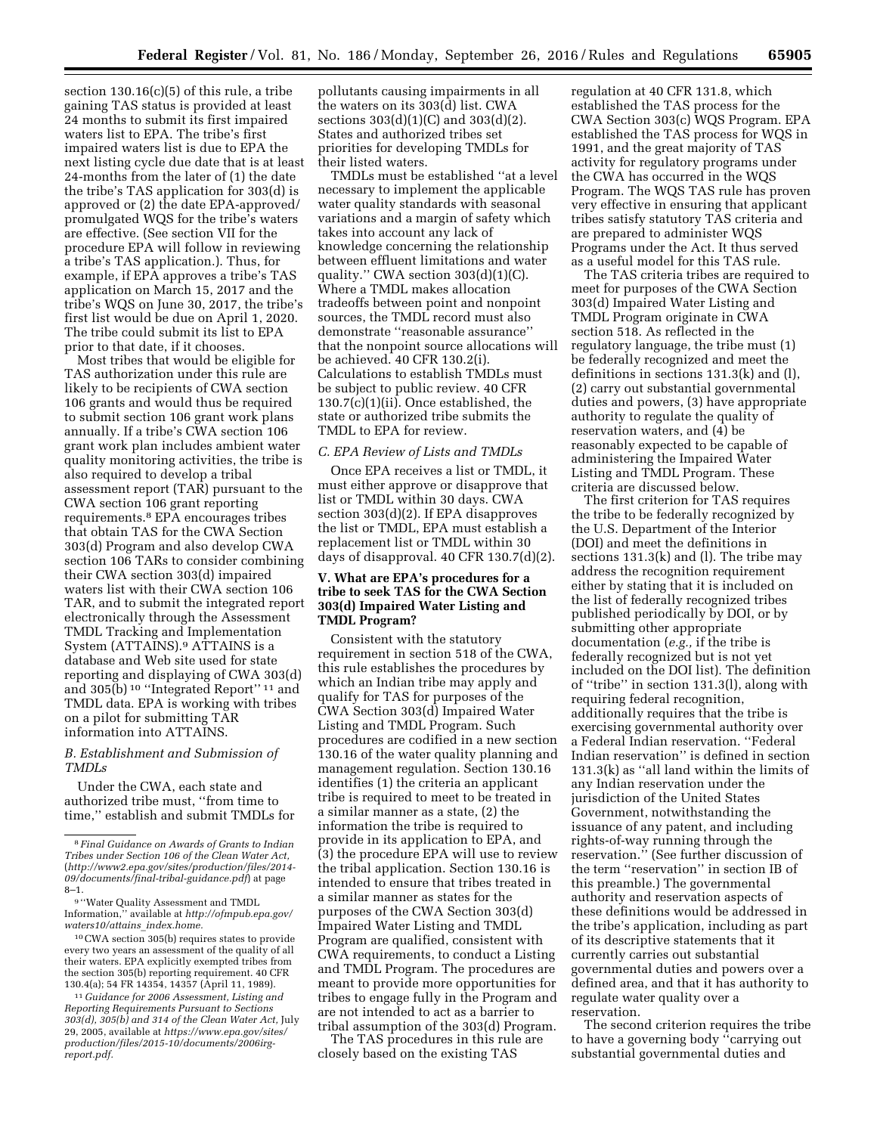section  $130.16(c)(5)$  of this rule, a tribe gaining TAS status is provided at least 24 months to submit its first impaired waters list to EPA. The tribe's first impaired waters list is due to EPA the next listing cycle due date that is at least 24-months from the later of (1) the date the tribe's TAS application for 303(d) is approved or (2) the date EPA-approved/ promulgated WQS for the tribe's waters are effective. (See section VII for the procedure EPA will follow in reviewing a tribe's TAS application.). Thus, for example, if EPA approves a tribe's TAS application on March 15, 2017 and the tribe's WQS on June 30, 2017, the tribe's first list would be due on April 1, 2020. The tribe could submit its list to EPA prior to that date, if it chooses.

Most tribes that would be eligible for TAS authorization under this rule are likely to be recipients of CWA section 106 grants and would thus be required to submit section 106 grant work plans annually. If a tribe's CWA section 106 grant work plan includes ambient water quality monitoring activities, the tribe is also required to develop a tribal assessment report (TAR) pursuant to the CWA section 106 grant reporting requirements.8 EPA encourages tribes that obtain TAS for the CWA Section 303(d) Program and also develop CWA section 106 TARs to consider combining their CWA section 303(d) impaired waters list with their CWA section 106 TAR, and to submit the integrated report electronically through the Assessment TMDL Tracking and Implementation System (ATTAINS).9 ATTAINS is a database and Web site used for state reporting and displaying of CWA 303(d) and 305(b) 10 ''Integrated Report'' 11 and TMDL data. EPA is working with tribes on a pilot for submitting TAR information into ATTAINS.

### *B. Establishment and Submission of TMDLs*

Under the CWA, each state and authorized tribe must, ''from time to time,'' establish and submit TMDLs for

10CWA section 305(b) requires states to provide every two years an assessment of the quality of all their waters. EPA explicitly exempted tribes from the section 305(b) reporting requirement. 40 CFR 130.4(a); 54 FR 14354, 14357 (April 11, 1989).

11 *Guidance for 2006 Assessment, Listing and Reporting Requirements Pursuant to Sections 303(d), 305(b) and 314 of the Clean Water Act,* July 29, 2005, available at *[https://www.epa.gov/sites/](https://www.epa.gov/sites/production/files/2015-10/documents/2006irg-report.pdf)  [production/files/2015-10/documents/2006irg](https://www.epa.gov/sites/production/files/2015-10/documents/2006irg-report.pdf)[report.pdf.](https://www.epa.gov/sites/production/files/2015-10/documents/2006irg-report.pdf)* 

pollutants causing impairments in all the waters on its 303(d) list. CWA sections 303(d)(1)(C) and 303(d)(2). States and authorized tribes set priorities for developing TMDLs for their listed waters.

TMDLs must be established ''at a level necessary to implement the applicable water quality standards with seasonal variations and a margin of safety which takes into account any lack of knowledge concerning the relationship between effluent limitations and water quality.'' CWA section 303(d)(1)(C). Where a TMDL makes allocation tradeoffs between point and nonpoint sources, the TMDL record must also demonstrate ''reasonable assurance'' that the nonpoint source allocations will be achieved. 40 CFR 130.2(i). Calculations to establish TMDLs must be subject to public review. 40 CFR 130.7(c)(1)(ii). Once established, the state or authorized tribe submits the TMDL to EPA for review.

#### *C. EPA Review of Lists and TMDLs*

Once EPA receives a list or TMDL, it must either approve or disapprove that list or TMDL within 30 days. CWA section 303(d)(2). If EPA disapproves the list or TMDL, EPA must establish a replacement list or TMDL within 30 days of disapproval. 40 CFR 130.7(d)(2).

## **V. What are EPA's procedures for a tribe to seek TAS for the CWA Section 303(d) Impaired Water Listing and TMDL Program?**

Consistent with the statutory requirement in section 518 of the CWA, this rule establishes the procedures by which an Indian tribe may apply and qualify for TAS for purposes of the CWA Section 303(d) Impaired Water Listing and TMDL Program. Such procedures are codified in a new section 130.16 of the water quality planning and management regulation. Section 130.16 identifies (1) the criteria an applicant tribe is required to meet to be treated in a similar manner as a state, (2) the information the tribe is required to provide in its application to EPA, and (3) the procedure EPA will use to review the tribal application. Section 130.16 is intended to ensure that tribes treated in a similar manner as states for the purposes of the CWA Section 303(d) Impaired Water Listing and TMDL Program are qualified, consistent with CWA requirements, to conduct a Listing and TMDL Program. The procedures are meant to provide more opportunities for tribes to engage fully in the Program and are not intended to act as a barrier to tribal assumption of the 303(d) Program.

The TAS procedures in this rule are closely based on the existing TAS

regulation at 40 CFR 131.8, which established the TAS process for the CWA Section 303(c) WQS Program. EPA established the TAS process for WQS in 1991, and the great majority of TAS activity for regulatory programs under the CWA has occurred in the WQS Program. The WQS TAS rule has proven very effective in ensuring that applicant tribes satisfy statutory TAS criteria and are prepared to administer WQS Programs under the Act. It thus served as a useful model for this TAS rule.

The TAS criteria tribes are required to meet for purposes of the CWA Section 303(d) Impaired Water Listing and TMDL Program originate in CWA section 518. As reflected in the regulatory language, the tribe must (1) be federally recognized and meet the definitions in sections 131.3(k) and (l), (2) carry out substantial governmental duties and powers, (3) have appropriate authority to regulate the quality of reservation waters, and (4) be reasonably expected to be capable of administering the Impaired Water Listing and TMDL Program. These criteria are discussed below.

The first criterion for TAS requires the tribe to be federally recognized by the U.S. Department of the Interior (DOI) and meet the definitions in sections 131.3(k) and (l). The tribe may address the recognition requirement either by stating that it is included on the list of federally recognized tribes published periodically by DOI, or by submitting other appropriate documentation (*e.g.,* if the tribe is federally recognized but is not yet included on the DOI list). The definition of ''tribe'' in section 131.3(l), along with requiring federal recognition, additionally requires that the tribe is exercising governmental authority over a Federal Indian reservation. ''Federal Indian reservation'' is defined in section 131.3(k) as ''all land within the limits of any Indian reservation under the jurisdiction of the United States Government, notwithstanding the issuance of any patent, and including rights-of-way running through the reservation.'' (See further discussion of the term ''reservation'' in section IB of this preamble.) The governmental authority and reservation aspects of these definitions would be addressed in the tribe's application, including as part of its descriptive statements that it currently carries out substantial governmental duties and powers over a defined area, and that it has authority to regulate water quality over a reservation.

The second criterion requires the tribe to have a governing body ''carrying out substantial governmental duties and

<sup>8</sup> *Final Guidance on Awards of Grants to Indian Tribes under Section 106 of the Clean Water Act,*  (*[http://www2.epa.gov/sites/production/files/2014-](http://www2.epa.gov/sites/production/files/2014-09/documents/final-tribal-guidance.pdf) [09/documents/final-tribal-guidance.pdf](http://www2.epa.gov/sites/production/files/2014-09/documents/final-tribal-guidance.pdf)*) at page 8–1.

<sup>9</sup> ''Water Quality Assessment and TMDL Information,'' available at *[http://ofmpub.epa.gov/](http://ofmpub.epa.gov/waters10/attains_index.home) [waters10/attains](http://ofmpub.epa.gov/waters10/attains_index.home)*\_*index.home.*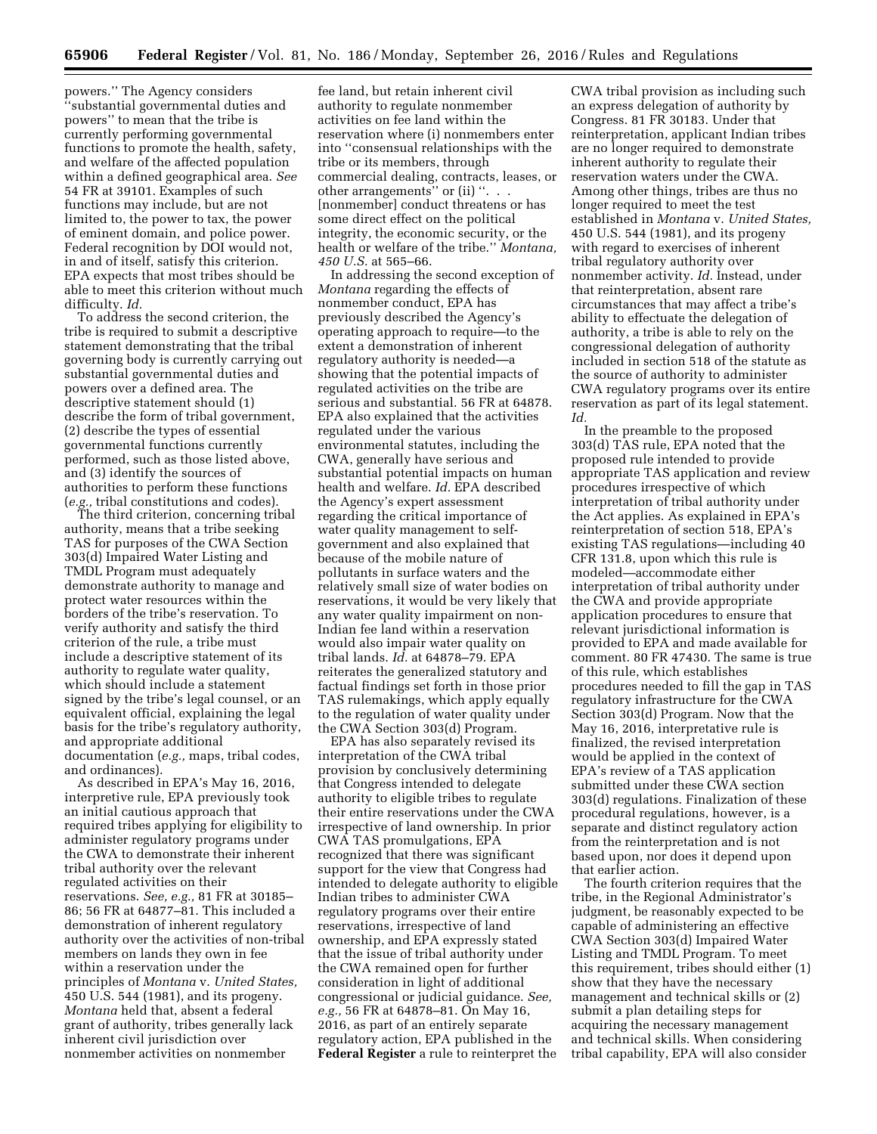powers.'' The Agency considers ''substantial governmental duties and powers'' to mean that the tribe is currently performing governmental functions to promote the health, safety, and welfare of the affected population within a defined geographical area. *See*  54 FR at 39101. Examples of such functions may include, but are not limited to, the power to tax, the power of eminent domain, and police power. Federal recognition by DOI would not, in and of itself, satisfy this criterion. EPA expects that most tribes should be able to meet this criterion without much difficulty. *Id.* 

To address the second criterion, the tribe is required to submit a descriptive statement demonstrating that the tribal governing body is currently carrying out substantial governmental duties and powers over a defined area. The descriptive statement should (1) describe the form of tribal government, (2) describe the types of essential governmental functions currently performed, such as those listed above, and (3) identify the sources of authorities to perform these functions (*e.g.,* tribal constitutions and codes).

The third criterion, concerning tribal authority, means that a tribe seeking TAS for purposes of the CWA Section 303(d) Impaired Water Listing and TMDL Program must adequately demonstrate authority to manage and protect water resources within the borders of the tribe's reservation. To verify authority and satisfy the third criterion of the rule, a tribe must include a descriptive statement of its authority to regulate water quality, which should include a statement signed by the tribe's legal counsel, or an equivalent official, explaining the legal basis for the tribe's regulatory authority, and appropriate additional documentation (*e.g.,* maps, tribal codes, and ordinances).

As described in EPA's May 16, 2016, interpretive rule, EPA previously took an initial cautious approach that required tribes applying for eligibility to administer regulatory programs under the CWA to demonstrate their inherent tribal authority over the relevant regulated activities on their reservations. *See, e.g.,* 81 FR at 30185– 86; 56 FR at 64877–81. This included a demonstration of inherent regulatory authority over the activities of non-tribal members on lands they own in fee within a reservation under the principles of *Montana* v. *United States,*  450 U.S. 544 (1981), and its progeny. *Montana* held that, absent a federal grant of authority, tribes generally lack inherent civil jurisdiction over nonmember activities on nonmember

fee land, but retain inherent civil authority to regulate nonmember activities on fee land within the reservation where (i) nonmembers enter into ''consensual relationships with the tribe or its members, through commercial dealing, contracts, leases, or other arrangements'' or (ii) ''. . . [nonmember] conduct threatens or has some direct effect on the political integrity, the economic security, or the health or welfare of the tribe.'' *Montana, 450 U.S.* at 565–66.

In addressing the second exception of *Montana* regarding the effects of nonmember conduct, EPA has previously described the Agency's operating approach to require—to the extent a demonstration of inherent regulatory authority is needed—a showing that the potential impacts of regulated activities on the tribe are serious and substantial. 56 FR at 64878. EPA also explained that the activities regulated under the various environmental statutes, including the CWA, generally have serious and substantial potential impacts on human health and welfare. *Id.* EPA described the Agency's expert assessment regarding the critical importance of water quality management to selfgovernment and also explained that because of the mobile nature of pollutants in surface waters and the relatively small size of water bodies on reservations, it would be very likely that any water quality impairment on non-Indian fee land within a reservation would also impair water quality on tribal lands. *Id.* at 64878–79. EPA reiterates the generalized statutory and factual findings set forth in those prior TAS rulemakings, which apply equally to the regulation of water quality under the CWA Section 303(d) Program.

EPA has also separately revised its interpretation of the CWA tribal provision by conclusively determining that Congress intended to delegate authority to eligible tribes to regulate their entire reservations under the CWA irrespective of land ownership. In prior CWA TAS promulgations, EPA recognized that there was significant support for the view that Congress had intended to delegate authority to eligible Indian tribes to administer CWA regulatory programs over their entire reservations, irrespective of land ownership, and EPA expressly stated that the issue of tribal authority under the CWA remained open for further consideration in light of additional congressional or judicial guidance. *See, e.g.,* 56 FR at 64878–81. On May 16, 2016, as part of an entirely separate regulatory action, EPA published in the **Federal Register** a rule to reinterpret the

CWA tribal provision as including such an express delegation of authority by Congress. 81 FR 30183. Under that reinterpretation, applicant Indian tribes are no longer required to demonstrate inherent authority to regulate their reservation waters under the CWA. Among other things, tribes are thus no longer required to meet the test established in *Montana* v. *United States,*  450 U.S. 544 (1981), and its progeny with regard to exercises of inherent tribal regulatory authority over nonmember activity. *Id.* Instead, under that reinterpretation, absent rare circumstances that may affect a tribe's ability to effectuate the delegation of authority, a tribe is able to rely on the congressional delegation of authority included in section 518 of the statute as the source of authority to administer CWA regulatory programs over its entire reservation as part of its legal statement. *Id.* 

In the preamble to the proposed 303(d) TAS rule, EPA noted that the proposed rule intended to provide appropriate TAS application and review procedures irrespective of which interpretation of tribal authority under the Act applies. As explained in EPA's reinterpretation of section 518, EPA's existing TAS regulations—including 40 CFR 131.8, upon which this rule is modeled—accommodate either interpretation of tribal authority under the CWA and provide appropriate application procedures to ensure that relevant jurisdictional information is provided to EPA and made available for comment. 80 FR 47430. The same is true of this rule, which establishes procedures needed to fill the gap in TAS regulatory infrastructure for the CWA Section 303(d) Program. Now that the May 16, 2016, interpretative rule is finalized, the revised interpretation would be applied in the context of EPA's review of a TAS application submitted under these CWA section 303(d) regulations. Finalization of these procedural regulations, however, is a separate and distinct regulatory action from the reinterpretation and is not based upon, nor does it depend upon that earlier action.

The fourth criterion requires that the tribe, in the Regional Administrator's judgment, be reasonably expected to be capable of administering an effective CWA Section 303(d) Impaired Water Listing and TMDL Program. To meet this requirement, tribes should either (1) show that they have the necessary management and technical skills or (2) submit a plan detailing steps for acquiring the necessary management and technical skills. When considering tribal capability, EPA will also consider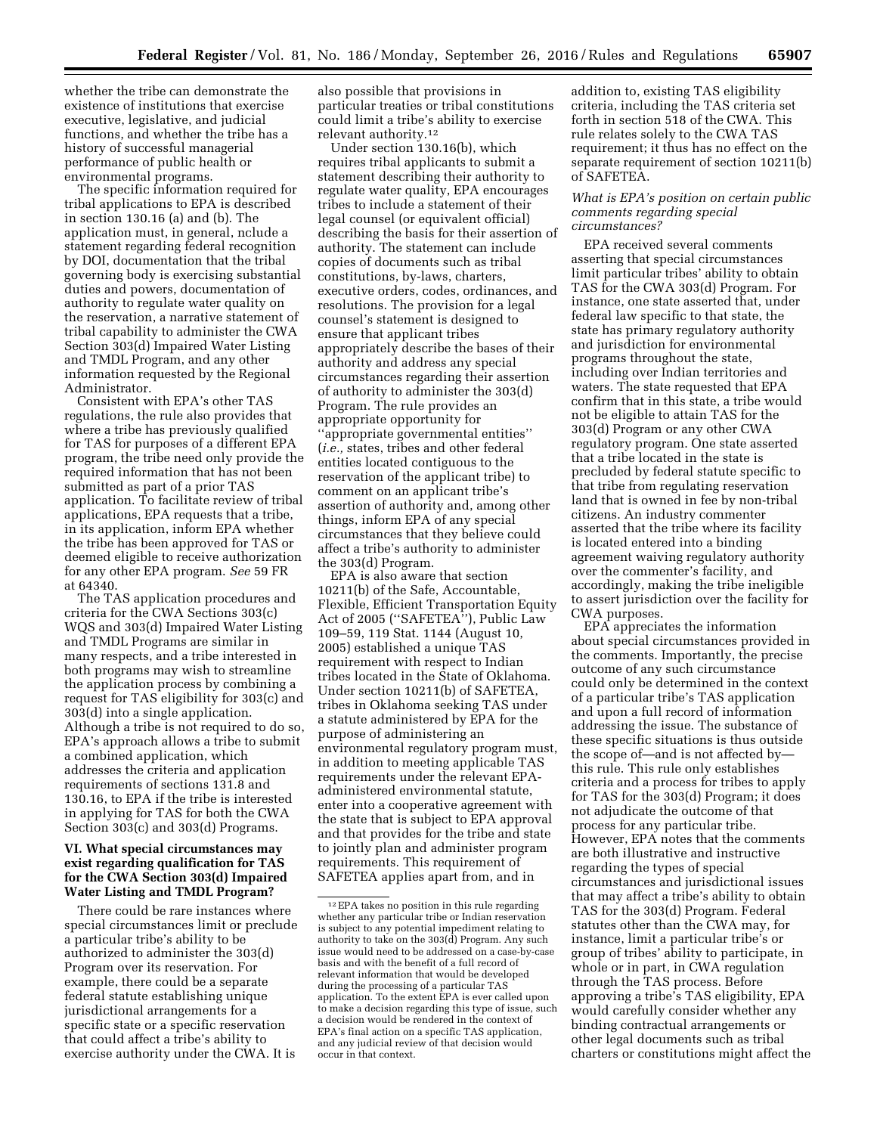whether the tribe can demonstrate the existence of institutions that exercise executive, legislative, and judicial functions, and whether the tribe has a history of successful managerial performance of public health or environmental programs.

The specific information required for tribal applications to EPA is described in section 130.16 (a) and (b). The application must, in general, nclude a statement regarding federal recognition by DOI, documentation that the tribal governing body is exercising substantial duties and powers, documentation of authority to regulate water quality on the reservation, a narrative statement of tribal capability to administer the CWA Section 303(d) Impaired Water Listing and TMDL Program, and any other information requested by the Regional Administrator.

Consistent with EPA's other TAS regulations, the rule also provides that where a tribe has previously qualified for TAS for purposes of a different EPA program, the tribe need only provide the required information that has not been submitted as part of a prior TAS application. To facilitate review of tribal applications, EPA requests that a tribe, in its application, inform EPA whether the tribe has been approved for TAS or deemed eligible to receive authorization for any other EPA program. *See* 59 FR at 64340.

The TAS application procedures and criteria for the CWA Sections 303(c) WQS and 303(d) Impaired Water Listing and TMDL Programs are similar in many respects, and a tribe interested in both programs may wish to streamline the application process by combining a request for TAS eligibility for 303(c) and 303(d) into a single application. Although a tribe is not required to do so, EPA's approach allows a tribe to submit a combined application, which addresses the criteria and application requirements of sections 131.8 and 130.16, to EPA if the tribe is interested in applying for TAS for both the CWA Section 303(c) and 303(d) Programs.

## **VI. What special circumstances may exist regarding qualification for TAS for the CWA Section 303(d) Impaired Water Listing and TMDL Program?**

There could be rare instances where special circumstances limit or preclude a particular tribe's ability to be authorized to administer the 303(d) Program over its reservation. For example, there could be a separate federal statute establishing unique jurisdictional arrangements for a specific state or a specific reservation that could affect a tribe's ability to exercise authority under the CWA. It is

also possible that provisions in particular treaties or tribal constitutions could limit a tribe's ability to exercise relevant authority.12

Under section 130.16(b), which requires tribal applicants to submit a statement describing their authority to regulate water quality, EPA encourages tribes to include a statement of their legal counsel (or equivalent official) describing the basis for their assertion of authority. The statement can include copies of documents such as tribal constitutions, by-laws, charters, executive orders, codes, ordinances, and resolutions. The provision for a legal counsel's statement is designed to ensure that applicant tribes appropriately describe the bases of their authority and address any special circumstances regarding their assertion of authority to administer the 303(d) Program. The rule provides an appropriate opportunity for ''appropriate governmental entities'' (*i.e.,* states, tribes and other federal entities located contiguous to the reservation of the applicant tribe) to comment on an applicant tribe's assertion of authority and, among other things, inform EPA of any special circumstances that they believe could affect a tribe's authority to administer the 303(d) Program.

EPA is also aware that section 10211(b) of the Safe, Accountable, Flexible, Efficient Transportation Equity Act of 2005 (''SAFETEA''), Public Law 109–59, 119 Stat. 1144 (August 10, 2005) established a unique TAS requirement with respect to Indian tribes located in the State of Oklahoma. Under section 10211(b) of SAFETEA, tribes in Oklahoma seeking TAS under a statute administered by EPA for the purpose of administering an environmental regulatory program must, in addition to meeting applicable TAS requirements under the relevant EPAadministered environmental statute, enter into a cooperative agreement with the state that is subject to EPA approval and that provides for the tribe and state to jointly plan and administer program requirements. This requirement of SAFETEA applies apart from, and in

addition to, existing TAS eligibility criteria, including the TAS criteria set forth in section 518 of the CWA. This rule relates solely to the CWA TAS requirement; it thus has no effect on the separate requirement of section 10211(b) of SAFETEA.

### *What is EPA's position on certain public comments regarding special circumstances?*

EPA received several comments asserting that special circumstances limit particular tribes' ability to obtain TAS for the CWA 303(d) Program. For instance, one state asserted that, under federal law specific to that state, the state has primary regulatory authority and jurisdiction for environmental programs throughout the state, including over Indian territories and waters. The state requested that EPA confirm that in this state, a tribe would not be eligible to attain TAS for the 303(d) Program or any other CWA regulatory program. One state asserted that a tribe located in the state is precluded by federal statute specific to that tribe from regulating reservation land that is owned in fee by non-tribal citizens. An industry commenter asserted that the tribe where its facility is located entered into a binding agreement waiving regulatory authority over the commenter's facility, and accordingly, making the tribe ineligible to assert jurisdiction over the facility for CWA purposes.

EPA appreciates the information about special circumstances provided in the comments. Importantly, the precise outcome of any such circumstance could only be determined in the context of a particular tribe's TAS application and upon a full record of information addressing the issue. The substance of these specific situations is thus outside the scope of—and is not affected by this rule. This rule only establishes criteria and a process for tribes to apply for TAS for the 303(d) Program; it does not adjudicate the outcome of that process for any particular tribe. However, EPA notes that the comments are both illustrative and instructive regarding the types of special circumstances and jurisdictional issues that may affect a tribe's ability to obtain TAS for the 303(d) Program. Federal statutes other than the CWA may, for instance, limit a particular tribe's or group of tribes' ability to participate, in whole or in part, in CWA regulation through the TAS process. Before approving a tribe's TAS eligibility, EPA would carefully consider whether any binding contractual arrangements or other legal documents such as tribal charters or constitutions might affect the

 $^{\rm 12}$  EPA takes no position in this rule regarding whether any particular tribe or Indian reservation is subject to any potential impediment relating to authority to take on the 303(d) Program. Any such issue would need to be addressed on a case-by-case basis and with the benefit of a full record of relevant information that would be developed during the processing of a particular TAS application. To the extent EPA is ever called upon to make a decision regarding this type of issue, such a decision would be rendered in the context of EPA's final action on a specific TAS application, and any judicial review of that decision would occur in that context.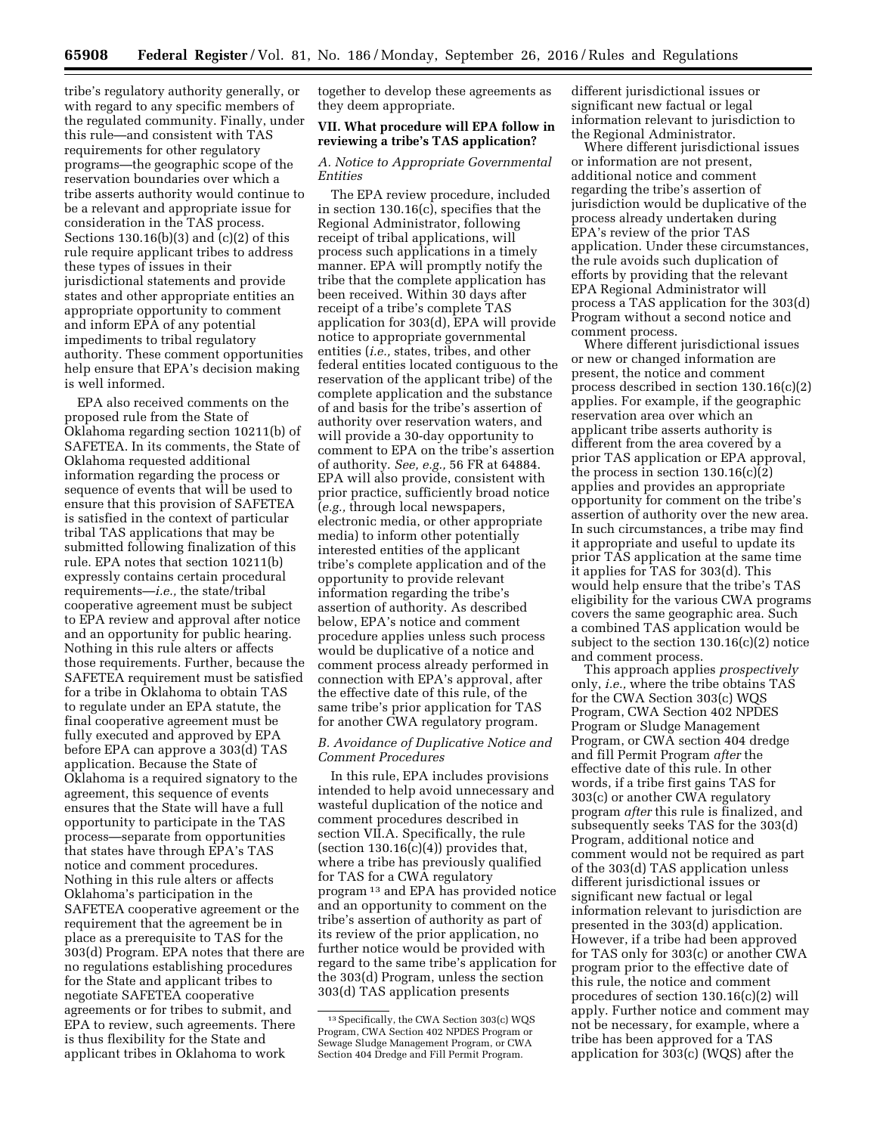tribe's regulatory authority generally, or with regard to any specific members of the regulated community. Finally, under this rule—and consistent with TAS requirements for other regulatory programs—the geographic scope of the reservation boundaries over which a tribe asserts authority would continue to be a relevant and appropriate issue for consideration in the TAS process. Sections 130.16(b)(3) and (c)(2) of this rule require applicant tribes to address these types of issues in their jurisdictional statements and provide states and other appropriate entities an appropriate opportunity to comment and inform EPA of any potential impediments to tribal regulatory authority. These comment opportunities help ensure that EPA's decision making is well informed.

EPA also received comments on the proposed rule from the State of Oklahoma regarding section 10211(b) of SAFETEA. In its comments, the State of Oklahoma requested additional information regarding the process or sequence of events that will be used to ensure that this provision of SAFETEA is satisfied in the context of particular tribal TAS applications that may be submitted following finalization of this rule. EPA notes that section 10211(b) expressly contains certain procedural requirements—*i.e.,* the state/tribal cooperative agreement must be subject to EPA review and approval after notice and an opportunity for public hearing. Nothing in this rule alters or affects those requirements. Further, because the SAFETEA requirement must be satisfied for a tribe in Oklahoma to obtain TAS to regulate under an EPA statute, the final cooperative agreement must be fully executed and approved by EPA before EPA can approve a 303(d) TAS application. Because the State of Oklahoma is a required signatory to the agreement, this sequence of events ensures that the State will have a full opportunity to participate in the TAS process—separate from opportunities that states have through EPA's TAS notice and comment procedures. Nothing in this rule alters or affects Oklahoma's participation in the SAFETEA cooperative agreement or the requirement that the agreement be in place as a prerequisite to TAS for the 303(d) Program. EPA notes that there are no regulations establishing procedures for the State and applicant tribes to negotiate SAFETEA cooperative agreements or for tribes to submit, and EPA to review, such agreements. There is thus flexibility for the State and applicant tribes in Oklahoma to work

together to develop these agreements as they deem appropriate.

## **VII. What procedure will EPA follow in reviewing a tribe's TAS application?**

*A. Notice to Appropriate Governmental Entities* 

The EPA review procedure, included in section 130.16(c), specifies that the Regional Administrator, following receipt of tribal applications, will process such applications in a timely manner. EPA will promptly notify the tribe that the complete application has been received. Within 30 days after receipt of a tribe's complete TAS application for 303(d), EPA will provide notice to appropriate governmental entities (*i.e.,* states, tribes, and other federal entities located contiguous to the reservation of the applicant tribe) of the complete application and the substance of and basis for the tribe's assertion of authority over reservation waters, and will provide a 30-day opportunity to comment to EPA on the tribe's assertion of authority. *See, e.g.,* 56 FR at 64884. EPA will also provide, consistent with prior practice, sufficiently broad notice (*e.g.,* through local newspapers, electronic media, or other appropriate media) to inform other potentially interested entities of the applicant tribe's complete application and of the opportunity to provide relevant information regarding the tribe's assertion of authority. As described below, EPA's notice and comment procedure applies unless such process would be duplicative of a notice and comment process already performed in connection with EPA's approval, after the effective date of this rule, of the same tribe's prior application for TAS for another CWA regulatory program.

## *B. Avoidance of Duplicative Notice and Comment Procedures*

In this rule, EPA includes provisions intended to help avoid unnecessary and wasteful duplication of the notice and comment procedures described in section VII.A. Specifically, the rule (section  $130.16(c)(4)$ ) provides that, where a tribe has previously qualified for TAS for a CWA regulatory program 13 and EPA has provided notice and an opportunity to comment on the tribe's assertion of authority as part of its review of the prior application, no further notice would be provided with regard to the same tribe's application for the 303(d) Program, unless the section 303(d) TAS application presents

different jurisdictional issues or significant new factual or legal information relevant to jurisdiction to the Regional Administrator.

Where different jurisdictional issues or information are not present, additional notice and comment regarding the tribe's assertion of jurisdiction would be duplicative of the process already undertaken during EPA's review of the prior TAS application. Under these circumstances, the rule avoids such duplication of efforts by providing that the relevant EPA Regional Administrator will process a TAS application for the 303(d) Program without a second notice and comment process.

Where different jurisdictional issues or new or changed information are present, the notice and comment process described in section 130.16(c)(2) applies. For example, if the geographic reservation area over which an applicant tribe asserts authority is different from the area covered by a prior TAS application or EPA approval, the process in section  $130.16(c)(2)$ applies and provides an appropriate opportunity for comment on the tribe's assertion of authority over the new area. In such circumstances, a tribe may find it appropriate and useful to update its prior TAS application at the same time it applies for TAS for 303(d). This would help ensure that the tribe's TAS eligibility for the various CWA programs covers the same geographic area. Such a combined TAS application would be subject to the section 130.16(c)(2) notice and comment process.

This approach applies *prospectively*  only, *i.e.,* where the tribe obtains TAS for the CWA Section 303(c) WQS Program, CWA Section 402 NPDES Program or Sludge Management Program, or CWA section 404 dredge and fill Permit Program *after* the effective date of this rule. In other words, if a tribe first gains TAS for 303(c) or another CWA regulatory program *after* this rule is finalized, and subsequently seeks TAS for the 303(d) Program, additional notice and comment would not be required as part of the 303(d) TAS application unless different jurisdictional issues or significant new factual or legal information relevant to jurisdiction are presented in the 303(d) application. However, if a tribe had been approved for TAS only for 303(c) or another CWA program prior to the effective date of this rule, the notice and comment procedures of section 130.16(c)(2) will apply. Further notice and comment may not be necessary, for example, where a tribe has been approved for a TAS application for 303(c) (WQS) after the

<sup>13</sup>Specifically, the CWA Section 303(c) WQS Program, CWA Section 402 NPDES Program or Sewage Sludge Management Program, or CWA Section 404 Dredge and Fill Permit Program.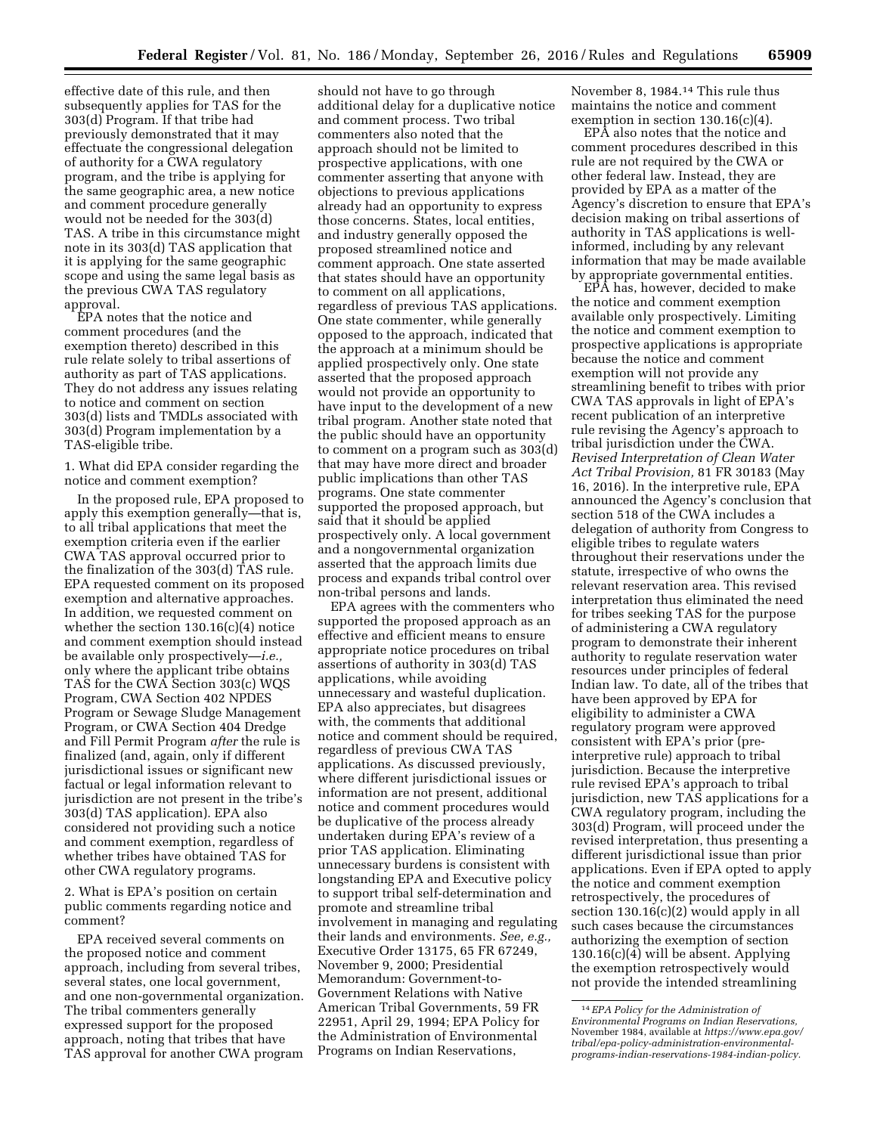effective date of this rule, and then subsequently applies for TAS for the 303(d) Program. If that tribe had previously demonstrated that it may effectuate the congressional delegation of authority for a CWA regulatory program, and the tribe is applying for the same geographic area, a new notice and comment procedure generally would not be needed for the 303(d) TAS. A tribe in this circumstance might note in its 303(d) TAS application that it is applying for the same geographic scope and using the same legal basis as the previous CWA TAS regulatory approval.

EPA notes that the notice and comment procedures (and the exemption thereto) described in this rule relate solely to tribal assertions of authority as part of TAS applications. They do not address any issues relating to notice and comment on section 303(d) lists and TMDLs associated with 303(d) Program implementation by a TAS-eligible tribe.

1. What did EPA consider regarding the notice and comment exemption?

In the proposed rule, EPA proposed to apply this exemption generally—that is, to all tribal applications that meet the exemption criteria even if the earlier CWA TAS approval occurred prior to the finalization of the 303(d) TAS rule. EPA requested comment on its proposed exemption and alternative approaches. In addition, we requested comment on whether the section  $130.16(c)(4)$  notice and comment exemption should instead be available only prospectively—*i.e.,*  only where the applicant tribe obtains TAS for the CWA Section 303(c) WQS Program, CWA Section 402 NPDES Program or Sewage Sludge Management Program, or CWA Section 404 Dredge and Fill Permit Program *after* the rule is finalized (and, again, only if different jurisdictional issues or significant new factual or legal information relevant to jurisdiction are not present in the tribe's 303(d) TAS application). EPA also considered not providing such a notice and comment exemption, regardless of whether tribes have obtained TAS for other CWA regulatory programs.

2. What is EPA's position on certain public comments regarding notice and comment?

EPA received several comments on the proposed notice and comment approach, including from several tribes, several states, one local government, and one non-governmental organization. The tribal commenters generally expressed support for the proposed approach, noting that tribes that have TAS approval for another CWA program

should not have to go through additional delay for a duplicative notice and comment process. Two tribal commenters also noted that the approach should not be limited to prospective applications, with one commenter asserting that anyone with objections to previous applications already had an opportunity to express those concerns. States, local entities, and industry generally opposed the proposed streamlined notice and comment approach. One state asserted that states should have an opportunity to comment on all applications, regardless of previous TAS applications. One state commenter, while generally opposed to the approach, indicated that the approach at a minimum should be applied prospectively only. One state asserted that the proposed approach would not provide an opportunity to have input to the development of a new tribal program. Another state noted that the public should have an opportunity to comment on a program such as 303(d) that may have more direct and broader public implications than other TAS programs. One state commenter supported the proposed approach, but said that it should be applied prospectively only. A local government and a nongovernmental organization asserted that the approach limits due process and expands tribal control over non-tribal persons and lands.

EPA agrees with the commenters who supported the proposed approach as an effective and efficient means to ensure appropriate notice procedures on tribal assertions of authority in 303(d) TAS applications, while avoiding unnecessary and wasteful duplication. EPA also appreciates, but disagrees with, the comments that additional notice and comment should be required, regardless of previous CWA TAS applications. As discussed previously, where different jurisdictional issues or information are not present, additional notice and comment procedures would be duplicative of the process already undertaken during EPA's review of a prior TAS application. Eliminating unnecessary burdens is consistent with longstanding EPA and Executive policy to support tribal self-determination and promote and streamline tribal involvement in managing and regulating their lands and environments. *See, e.g.,*  Executive Order 13175, 65 FR 67249, November 9, 2000; Presidential Memorandum: Government-to-Government Relations with Native American Tribal Governments, 59 FR 22951, April 29, 1994; EPA Policy for the Administration of Environmental Programs on Indian Reservations,

November 8, 1984.14 This rule thus maintains the notice and comment exemption in section  $130.16(c)(4)$ .

EPA also notes that the notice and comment procedures described in this rule are not required by the CWA or other federal law. Instead, they are provided by EPA as a matter of the Agency's discretion to ensure that EPA's decision making on tribal assertions of authority in TAS applications is wellinformed, including by any relevant information that may be made available by appropriate governmental entities.

EPA has, however, decided to make the notice and comment exemption available only prospectively. Limiting the notice and comment exemption to prospective applications is appropriate because the notice and comment exemption will not provide any streamlining benefit to tribes with prior CWA TAS approvals in light of EPA's recent publication of an interpretive rule revising the Agency's approach to tribal jurisdiction under the CWA. *Revised Interpretation of Clean Water Act Tribal Provision,* 81 FR 30183 (May 16, 2016). In the interpretive rule, EPA announced the Agency's conclusion that section 518 of the CWA includes a delegation of authority from Congress to eligible tribes to regulate waters throughout their reservations under the statute, irrespective of who owns the relevant reservation area. This revised interpretation thus eliminated the need for tribes seeking TAS for the purpose of administering a CWA regulatory program to demonstrate their inherent authority to regulate reservation water resources under principles of federal Indian law. To date, all of the tribes that have been approved by EPA for eligibility to administer a CWA regulatory program were approved consistent with EPA's prior (preinterpretive rule) approach to tribal jurisdiction. Because the interpretive rule revised EPA's approach to tribal jurisdiction, new TAS applications for a CWA regulatory program, including the 303(d) Program, will proceed under the revised interpretation, thus presenting a different jurisdictional issue than prior applications. Even if EPA opted to apply the notice and comment exemption retrospectively, the procedures of section 130.16(c)(2) would apply in all such cases because the circumstances authorizing the exemption of section 130.16(c)(4) will be absent. Applying the exemption retrospectively would not provide the intended streamlining

<sup>14</sup>*EPA Policy for the Administration of Environmental Programs on Indian Reservations,*  November 1984, available at *[https://www.epa.gov/](https://www.epa.gov/tribal/epa-policy-administration-environmental-programs-indian-reservations-1984-indian-policy)  [tribal/epa-policy-administration-environmental](https://www.epa.gov/tribal/epa-policy-administration-environmental-programs-indian-reservations-1984-indian-policy)[programs-indian-reservations-1984-indian-policy.](https://www.epa.gov/tribal/epa-policy-administration-environmental-programs-indian-reservations-1984-indian-policy)*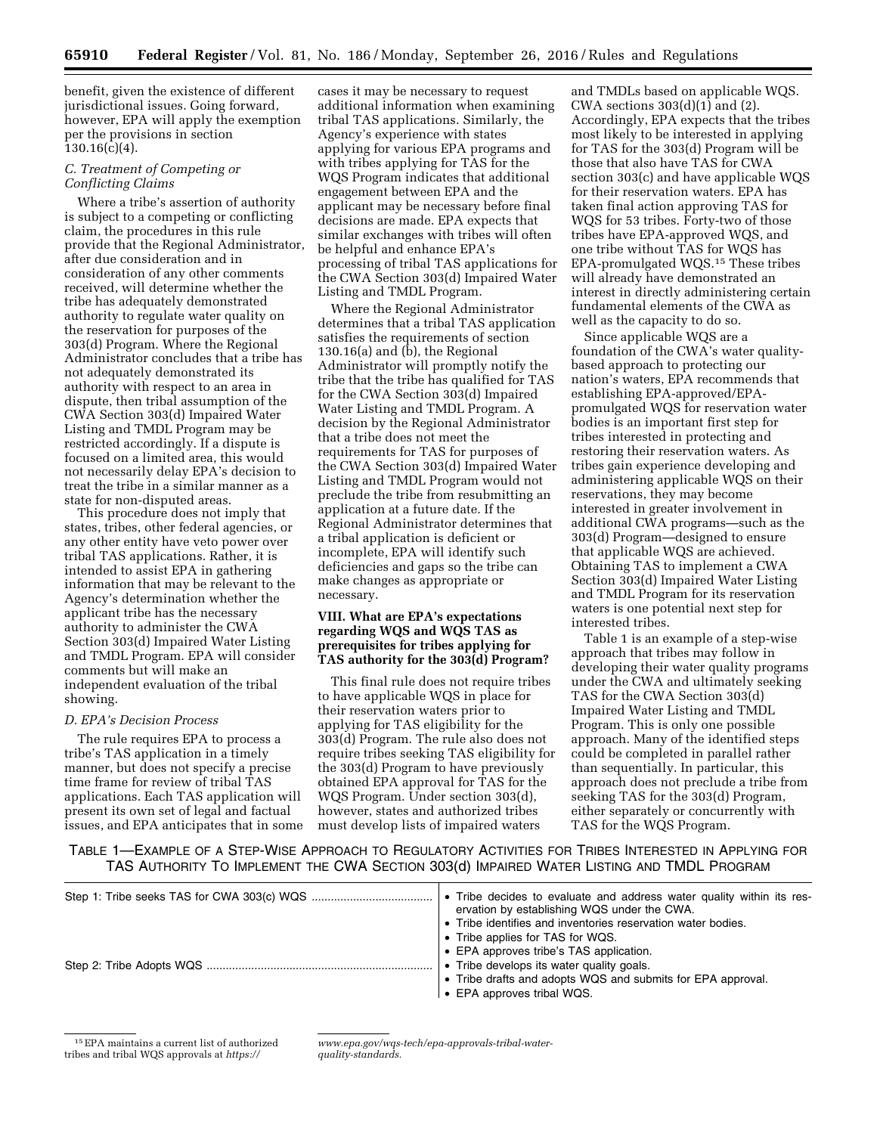benefit, given the existence of different jurisdictional issues. Going forward, however, EPA will apply the exemption per the provisions in section 130.16(c)(4).

### *C. Treatment of Competing or Conflicting Claims*

Where a tribe's assertion of authority is subject to a competing or conflicting claim, the procedures in this rule provide that the Regional Administrator, after due consideration and in consideration of any other comments received, will determine whether the tribe has adequately demonstrated authority to regulate water quality on the reservation for purposes of the 303(d) Program. Where the Regional Administrator concludes that a tribe has not adequately demonstrated its authority with respect to an area in dispute, then tribal assumption of the CWA Section 303(d) Impaired Water Listing and TMDL Program may be restricted accordingly. If a dispute is focused on a limited area, this would not necessarily delay EPA's decision to treat the tribe in a similar manner as a state for non-disputed areas.

This procedure does not imply that states, tribes, other federal agencies, or any other entity have veto power over tribal TAS applications. Rather, it is intended to assist EPA in gathering information that may be relevant to the Agency's determination whether the applicant tribe has the necessary authority to administer the CWA Section 303(d) Impaired Water Listing and TMDL Program. EPA will consider comments but will make an independent evaluation of the tribal showing.

### *D. EPA's Decision Process*

The rule requires EPA to process a tribe's TAS application in a timely manner, but does not specify a precise time frame for review of tribal TAS applications. Each TAS application will present its own set of legal and factual issues, and EPA anticipates that in some

cases it may be necessary to request additional information when examining tribal TAS applications. Similarly, the Agency's experience with states applying for various EPA programs and with tribes applying for TAS for the WQS Program indicates that additional engagement between EPA and the applicant may be necessary before final decisions are made. EPA expects that similar exchanges with tribes will often be helpful and enhance EPA's processing of tribal TAS applications for the CWA Section 303(d) Impaired Water Listing and TMDL Program.

Where the Regional Administrator determines that a tribal TAS application satisfies the requirements of section 130.16(a) and (b), the Regional Administrator will promptly notify the tribe that the tribe has qualified for TAS for the CWA Section 303(d) Impaired Water Listing and TMDL Program. A decision by the Regional Administrator that a tribe does not meet the requirements for TAS for purposes of the CWA Section 303(d) Impaired Water Listing and TMDL Program would not preclude the tribe from resubmitting an application at a future date. If the Regional Administrator determines that a tribal application is deficient or incomplete, EPA will identify such deficiencies and gaps so the tribe can make changes as appropriate or necessary.

## **VIII. What are EPA's expectations regarding WQS and WQS TAS as prerequisites for tribes applying for TAS authority for the 303(d) Program?**

This final rule does not require tribes to have applicable WQS in place for their reservation waters prior to applying for TAS eligibility for the 303(d) Program. The rule also does not require tribes seeking TAS eligibility for the 303(d) Program to have previously obtained EPA approval for TAS for the WQS Program. Under section 303(d), however, states and authorized tribes must develop lists of impaired waters

and TMDLs based on applicable WQS. CWA sections  $303(d)(1)$  and  $(2)$ . Accordingly, EPA expects that the tribes most likely to be interested in applying for TAS for the 303(d) Program will be those that also have TAS for CWA section 303(c) and have applicable WQS for their reservation waters. EPA has taken final action approving TAS for WQS for 53 tribes. Forty-two of those tribes have EPA-approved WQS, and one tribe without TAS for WQS has EPA-promulgated WQS.15 These tribes will already have demonstrated an interest in directly administering certain fundamental elements of the CWA as well as the capacity to do so.

Since applicable WQS are a foundation of the CWA's water qualitybased approach to protecting our nation's waters, EPA recommends that establishing EPA-approved/EPApromulgated WQS for reservation water bodies is an important first step for tribes interested in protecting and restoring their reservation waters. As tribes gain experience developing and administering applicable WQS on their reservations, they may become interested in greater involvement in additional CWA programs—such as the 303(d) Program—designed to ensure that applicable WQS are achieved. Obtaining TAS to implement a CWA Section 303(d) Impaired Water Listing and TMDL Program for its reservation waters is one potential next step for interested tribes.

Table 1 is an example of a step-wise approach that tribes may follow in developing their water quality programs under the CWA and ultimately seeking TAS for the CWA Section 303(d) Impaired Water Listing and TMDL Program. This is only one possible approach. Many of the identified steps could be completed in parallel rather than sequentially. In particular, this approach does not preclude a tribe from seeking TAS for the 303(d) Program, either separately or concurrently with TAS for the WQS Program.

# TABLE 1—EXAMPLE OF A STEP-WISE APPROACH TO REGULATORY ACTIVITIES FOR TRIBES INTERESTED IN APPLYING FOR TAS AUTHORITY TO IMPLEMENT THE CWA SECTION 303(d) IMPAIRED WATER LISTING AND TMDL PROGRAM

| • Tribe decides to evaluate and address water quality within its res-<br>ervation by establishing WQS under the CWA. |
|----------------------------------------------------------------------------------------------------------------------|
| • Tribe identifies and inventories reservation water bodies.                                                         |
| • Tribe applies for TAS for WQS.                                                                                     |
| • EPA approves tribe's TAS application.                                                                              |
| • Tribe develops its water quality goals.                                                                            |
| • Tribe drafts and adopts WQS and submits for EPA approval.                                                          |
| • EPA approves tribal WQS.                                                                                           |

*[www.epa.gov/wqs-tech/epa-approvals-tribal-water](https://www.epa.gov/wqs-tech/epa-approvals-tribal-water-quality-standards)[quality-standards.](https://www.epa.gov/wqs-tech/epa-approvals-tribal-water-quality-standards)* 

<sup>15</sup>EPA maintains a current list of authorized tribes and tribal WQS approvals at *[https://](https://www.epa.gov/wqs-tech/epa-approvals-tribal-water-quality-standards)*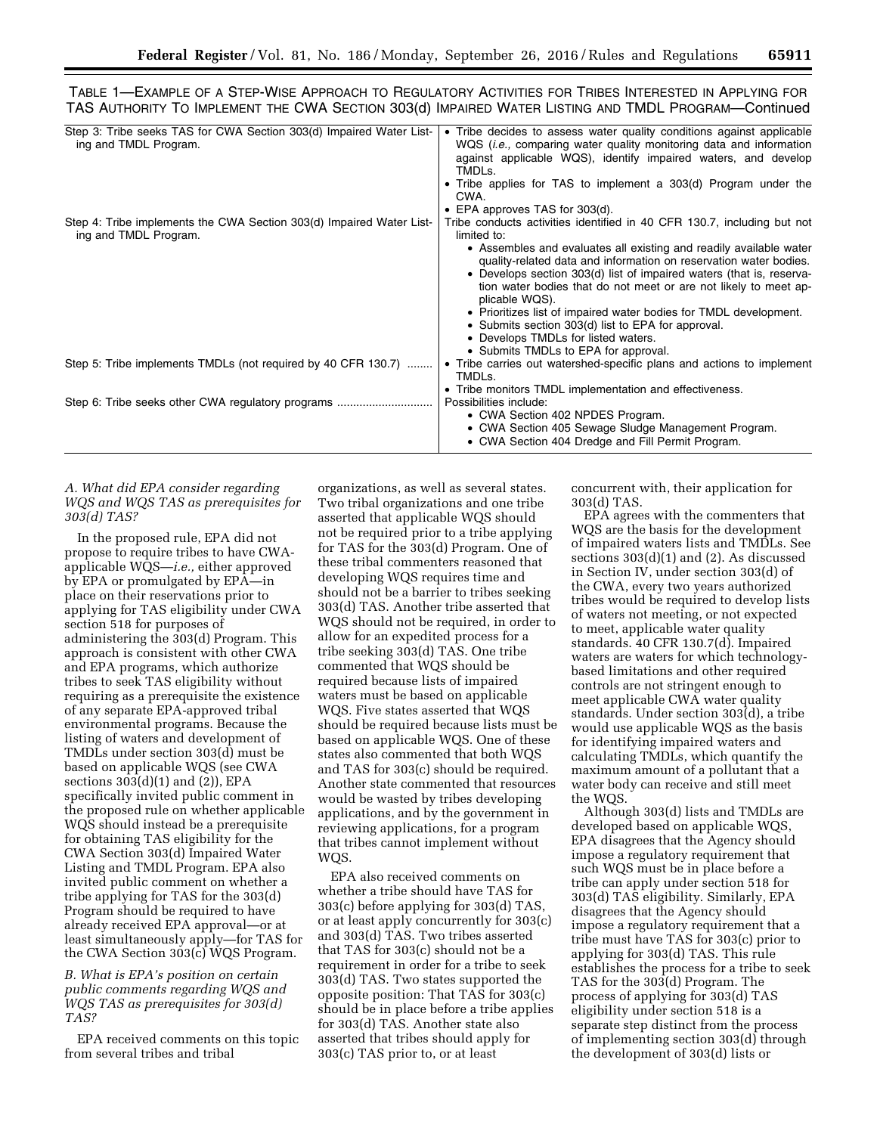| Step 3: Tribe seeks TAS for CWA Section 303(d) Impaired Water List-<br>ing and TMDL Program.  | • Tribe decides to assess water quality conditions against applicable<br>WQS <i>(i.e., comparing water quality monitoring data and information</i><br>against applicable WQS), identify impaired waters, and develop<br>TMDLs.<br>• Tribe applies for TAS to implement a 303(d) Program under the                                                                                                                                                                                                               |
|-----------------------------------------------------------------------------------------------|-----------------------------------------------------------------------------------------------------------------------------------------------------------------------------------------------------------------------------------------------------------------------------------------------------------------------------------------------------------------------------------------------------------------------------------------------------------------------------------------------------------------|
|                                                                                               | CWA.                                                                                                                                                                                                                                                                                                                                                                                                                                                                                                            |
|                                                                                               | • EPA approves TAS for 303(d).                                                                                                                                                                                                                                                                                                                                                                                                                                                                                  |
| Step 4: Tribe implements the CWA Section 303(d) Impaired Water List-<br>ing and TMDL Program. | Tribe conducts activities identified in 40 CFR 130.7, including but not<br>limited to:                                                                                                                                                                                                                                                                                                                                                                                                                          |
|                                                                                               | • Assembles and evaluates all existing and readily available water<br>quality-related data and information on reservation water bodies.<br>• Develops section 303(d) list of impaired waters (that is, reserva-<br>tion water bodies that do not meet or are not likely to meet ap-<br>plicable WQS).<br>• Prioritizes list of impaired water bodies for TMDL development.<br>• Submits section 303(d) list to EPA for approval.<br>• Develops TMDLs for listed waters.<br>• Submits TMDLs to EPA for approval. |
| Step 5: Tribe implements TMDLs (not required by 40 CFR 130.7)                                 | • Tribe carries out watershed-specific plans and actions to implement<br>TMDL <sub>s</sub> .                                                                                                                                                                                                                                                                                                                                                                                                                    |
|                                                                                               | • Tribe monitors TMDL implementation and effectiveness.                                                                                                                                                                                                                                                                                                                                                                                                                                                         |
| Step 6: Tribe seeks other CWA regulatory programs                                             | Possibilities include:                                                                                                                                                                                                                                                                                                                                                                                                                                                                                          |
|                                                                                               | • CWA Section 402 NPDES Program.                                                                                                                                                                                                                                                                                                                                                                                                                                                                                |
|                                                                                               | • CWA Section 405 Sewage Sludge Management Program.                                                                                                                                                                                                                                                                                                                                                                                                                                                             |
|                                                                                               | • CWA Section 404 Dredge and Fill Permit Program.                                                                                                                                                                                                                                                                                                                                                                                                                                                               |

TABLE 1—EXAMPLE OF A STEP-WISE APPROACH TO REGULATORY ACTIVITIES FOR TRIBES INTERESTED IN APPLYING FOR TAS AUTHORITY TO IMPLEMENT THE CWA SECTION 303(d) IMPAIRED WATER LISTING AND TMDL PROGRAM—Continued

# *A. What did EPA consider regarding WQS and WQS TAS as prerequisites for 303(d) TAS?*

In the proposed rule, EPA did not propose to require tribes to have CWAapplicable WQS—*i.e.,* either approved by EPA or promulgated by EPA—in place on their reservations prior to applying for TAS eligibility under CWA section 518 for purposes of administering the 303(d) Program. This approach is consistent with other CWA and EPA programs, which authorize tribes to seek TAS eligibility without requiring as a prerequisite the existence of any separate EPA-approved tribal environmental programs. Because the listing of waters and development of TMDLs under section 303(d) must be based on applicable WQS (see CWA sections 303(d)(1) and (2)), EPA specifically invited public comment in the proposed rule on whether applicable WQS should instead be a prerequisite for obtaining TAS eligibility for the CWA Section 303(d) Impaired Water Listing and TMDL Program. EPA also invited public comment on whether a tribe applying for TAS for the 303(d) Program should be required to have already received EPA approval—or at least simultaneously apply—for TAS for the CWA Section 303(c) WQS Program.

# *B. What is EPA's position on certain public comments regarding WQS and WQS TAS as prerequisites for 303(d) TAS?*

EPA received comments on this topic from several tribes and tribal

organizations, as well as several states. Two tribal organizations and one tribe asserted that applicable WQS should not be required prior to a tribe applying for TAS for the 303(d) Program. One of these tribal commenters reasoned that developing WQS requires time and should not be a barrier to tribes seeking 303(d) TAS. Another tribe asserted that WQS should not be required, in order to allow for an expedited process for a tribe seeking 303(d) TAS. One tribe commented that WQS should be required because lists of impaired waters must be based on applicable WQS. Five states asserted that WQS should be required because lists must be based on applicable WQS. One of these states also commented that both WQS and TAS for 303(c) should be required. Another state commented that resources would be wasted by tribes developing applications, and by the government in reviewing applications, for a program that tribes cannot implement without WO<sub>S</sub>.

EPA also received comments on whether a tribe should have TAS for 303(c) before applying for 303(d) TAS, or at least apply concurrently for 303(c) and 303(d) TAS. Two tribes asserted that TAS for 303(c) should not be a requirement in order for a tribe to seek 303(d) TAS. Two states supported the opposite position: That TAS for 303(c) should be in place before a tribe applies for 303(d) TAS. Another state also asserted that tribes should apply for 303(c) TAS prior to, or at least

concurrent with, their application for 303(d) TAS.

EPA agrees with the commenters that WQS are the basis for the development of impaired waters lists and TMDLs. See sections 303(d)(1) and (2). As discussed in Section IV, under section 303(d) of the CWA, every two years authorized tribes would be required to develop lists of waters not meeting, or not expected to meet, applicable water quality standards. 40 CFR 130.7(d). Impaired waters are waters for which technologybased limitations and other required controls are not stringent enough to meet applicable CWA water quality standards. Under section 303(d), a tribe would use applicable WQS as the basis for identifying impaired waters and calculating TMDLs, which quantify the maximum amount of a pollutant that a water body can receive and still meet the WQS.

Although 303(d) lists and TMDLs are developed based on applicable WQS, EPA disagrees that the Agency should impose a regulatory requirement that such WQS must be in place before a tribe can apply under section 518 for 303(d) TAS eligibility. Similarly, EPA disagrees that the Agency should impose a regulatory requirement that a tribe must have TAS for 303(c) prior to applying for 303(d) TAS. This rule establishes the process for a tribe to seek TAS for the 303(d) Program. The process of applying for 303(d) TAS eligibility under section 518 is a separate step distinct from the process of implementing section 303(d) through the development of 303(d) lists or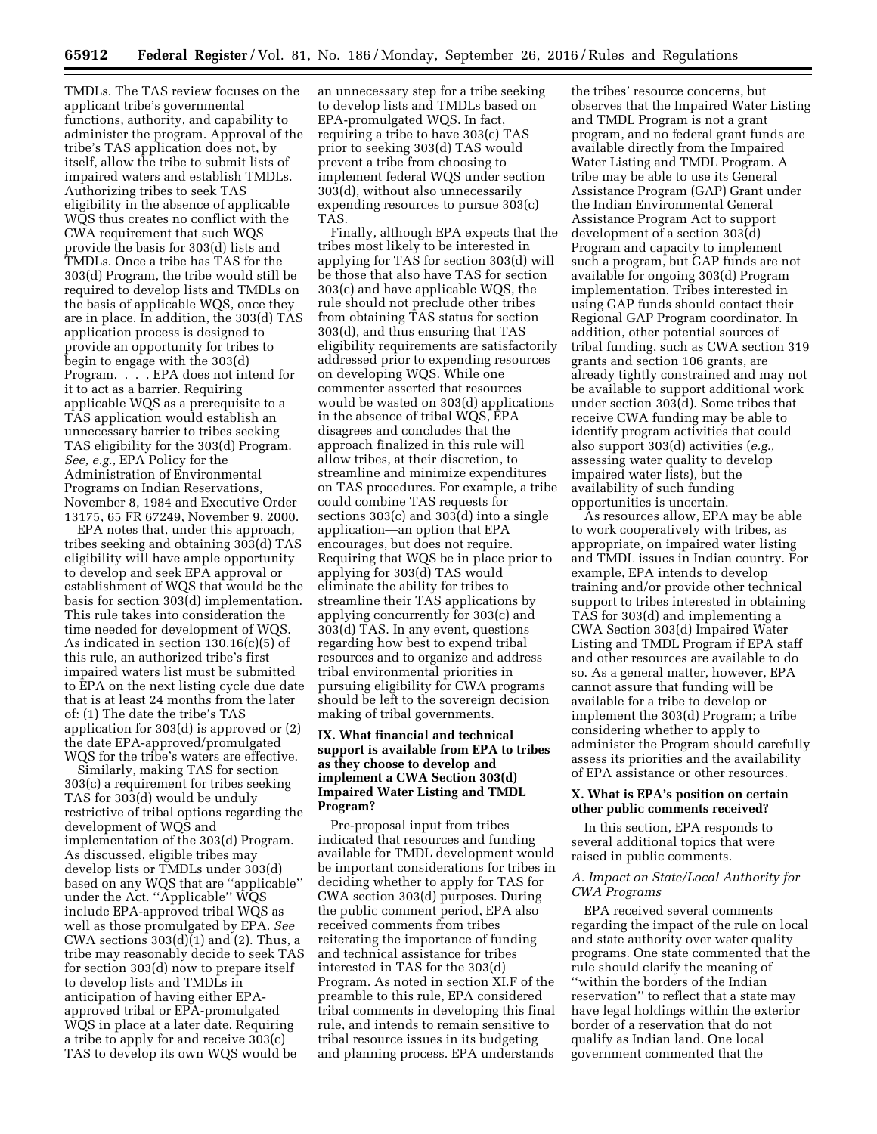TMDLs. The TAS review focuses on the applicant tribe's governmental functions, authority, and capability to administer the program. Approval of the tribe's TAS application does not, by itself, allow the tribe to submit lists of impaired waters and establish TMDLs. Authorizing tribes to seek TAS eligibility in the absence of applicable WQS thus creates no conflict with the CWA requirement that such WQS provide the basis for 303(d) lists and TMDLs. Once a tribe has TAS for the 303(d) Program, the tribe would still be required to develop lists and TMDLs on the basis of applicable WQS, once they are in place. In addition, the 303(d) TAS application process is designed to provide an opportunity for tribes to begin to engage with the 303(d) Program. . . . EPA does not intend for it to act as a barrier. Requiring applicable WQS as a prerequisite to a TAS application would establish an unnecessary barrier to tribes seeking TAS eligibility for the 303(d) Program. *See, e.g.,* EPA Policy for the Administration of Environmental Programs on Indian Reservations, November 8, 1984 and Executive Order 13175, 65 FR 67249, November 9, 2000.

EPA notes that, under this approach, tribes seeking and obtaining 303(d) TAS eligibility will have ample opportunity to develop and seek EPA approval or establishment of WQS that would be the basis for section 303(d) implementation. This rule takes into consideration the time needed for development of WQS. As indicated in section 130.16(c)(5) of this rule, an authorized tribe's first impaired waters list must be submitted to EPA on the next listing cycle due date that is at least 24 months from the later of: (1) The date the tribe's TAS application for 303(d) is approved or (2) the date EPA-approved/promulgated WQS for the tribe's waters are effective.

Similarly, making TAS for section 303(c) a requirement for tribes seeking TAS for 303(d) would be unduly restrictive of tribal options regarding the development of WQS and implementation of the 303(d) Program. As discussed, eligible tribes may develop lists or TMDLs under 303(d) based on any WQS that are ''applicable'' under the Act. ''Applicable'' WQS include EPA-approved tribal WQS as well as those promulgated by EPA. *See*  CWA sections  $303(d)(1)$  and  $(2)$ . Thus, a tribe may reasonably decide to seek TAS for section 303(d) now to prepare itself to develop lists and TMDLs in anticipation of having either EPAapproved tribal or EPA-promulgated WQS in place at a later date. Requiring a tribe to apply for and receive 303(c) TAS to develop its own WQS would be

an unnecessary step for a tribe seeking to develop lists and TMDLs based on EPA-promulgated WQS. In fact, requiring a tribe to have 303(c) TAS prior to seeking 303(d) TAS would prevent a tribe from choosing to implement federal WQS under section 303(d), without also unnecessarily expending resources to pursue 303(c) TAS.

Finally, although EPA expects that the tribes most likely to be interested in applying for TAS for section 303(d) will be those that also have TAS for section 303(c) and have applicable WQS, the rule should not preclude other tribes from obtaining TAS status for section 303(d), and thus ensuring that TAS eligibility requirements are satisfactorily addressed prior to expending resources on developing WQS. While one commenter asserted that resources would be wasted on 303(d) applications in the absence of tribal WQS, EPA disagrees and concludes that the approach finalized in this rule will allow tribes, at their discretion, to streamline and minimize expenditures on TAS procedures. For example, a tribe could combine TAS requests for sections 303(c) and 303(d) into a single application—an option that EPA encourages, but does not require. Requiring that WQS be in place prior to applying for 303(d) TAS would eliminate the ability for tribes to streamline their TAS applications by applying concurrently for 303(c) and 303(d) TAS. In any event, questions regarding how best to expend tribal resources and to organize and address tribal environmental priorities in pursuing eligibility for CWA programs should be left to the sovereign decision making of tribal governments.

## **IX. What financial and technical support is available from EPA to tribes as they choose to develop and implement a CWA Section 303(d) Impaired Water Listing and TMDL Program?**

Pre-proposal input from tribes indicated that resources and funding available for TMDL development would be important considerations for tribes in deciding whether to apply for TAS for CWA section 303(d) purposes. During the public comment period, EPA also received comments from tribes reiterating the importance of funding and technical assistance for tribes interested in TAS for the 303(d) Program. As noted in section XI.F of the preamble to this rule, EPA considered tribal comments in developing this final rule, and intends to remain sensitive to tribal resource issues in its budgeting and planning process. EPA understands

the tribes' resource concerns, but observes that the Impaired Water Listing and TMDL Program is not a grant program, and no federal grant funds are available directly from the Impaired Water Listing and TMDL Program. A tribe may be able to use its General Assistance Program (GAP) Grant under the Indian Environmental General Assistance Program Act to support development of a section 303(d) Program and capacity to implement such a program, but GAP funds are not available for ongoing 303(d) Program implementation. Tribes interested in using GAP funds should contact their Regional GAP Program coordinator. In addition, other potential sources of tribal funding, such as CWA section 319 grants and section 106 grants, are already tightly constrained and may not be available to support additional work under section 303(d). Some tribes that receive CWA funding may be able to identify program activities that could also support 303(d) activities (*e.g.,*  assessing water quality to develop impaired water lists), but the availability of such funding opportunities is uncertain.

As resources allow, EPA may be able to work cooperatively with tribes, as appropriate, on impaired water listing and TMDL issues in Indian country. For example, EPA intends to develop training and/or provide other technical support to tribes interested in obtaining TAS for 303(d) and implementing a CWA Section 303(d) Impaired Water Listing and TMDL Program if EPA staff and other resources are available to do so. As a general matter, however, EPA cannot assure that funding will be available for a tribe to develop or implement the 303(d) Program; a tribe considering whether to apply to administer the Program should carefully assess its priorities and the availability of EPA assistance or other resources.

# **X. What is EPA's position on certain other public comments received?**

In this section, EPA responds to several additional topics that were raised in public comments.

### *A. Impact on State/Local Authority for CWA Programs*

EPA received several comments regarding the impact of the rule on local and state authority over water quality programs. One state commented that the rule should clarify the meaning of ''within the borders of the Indian reservation'' to reflect that a state may have legal holdings within the exterior border of a reservation that do not qualify as Indian land. One local government commented that the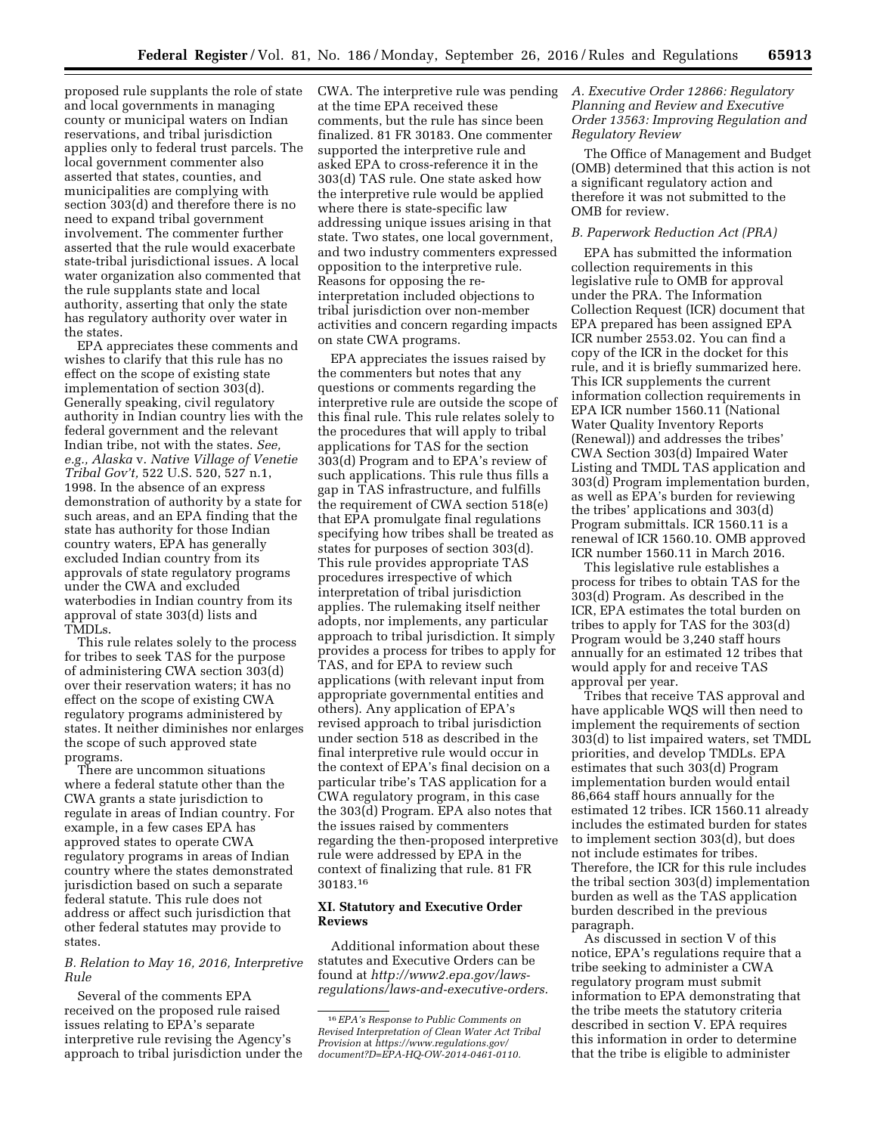proposed rule supplants the role of state and local governments in managing county or municipal waters on Indian reservations, and tribal jurisdiction applies only to federal trust parcels. The local government commenter also asserted that states, counties, and municipalities are complying with section 303(d) and therefore there is no need to expand tribal government involvement. The commenter further asserted that the rule would exacerbate state-tribal jurisdictional issues. A local water organization also commented that the rule supplants state and local authority, asserting that only the state has regulatory authority over water in the states.

EPA appreciates these comments and wishes to clarify that this rule has no effect on the scope of existing state implementation of section 303(d). Generally speaking, civil regulatory authority in Indian country lies with the federal government and the relevant Indian tribe, not with the states. *See, e.g., Alaska* v. *Native Village of Venetie Tribal Gov't,* 522 U.S. 520, 527 n.1, 1998. In the absence of an express demonstration of authority by a state for such areas, and an EPA finding that the state has authority for those Indian country waters, EPA has generally excluded Indian country from its approvals of state regulatory programs under the CWA and excluded waterbodies in Indian country from its approval of state 303(d) lists and TMDLs.

This rule relates solely to the process for tribes to seek TAS for the purpose of administering CWA section 303(d) over their reservation waters; it has no effect on the scope of existing CWA regulatory programs administered by states. It neither diminishes nor enlarges the scope of such approved state programs.

There are uncommon situations where a federal statute other than the CWA grants a state jurisdiction to regulate in areas of Indian country. For example, in a few cases EPA has approved states to operate CWA regulatory programs in areas of Indian country where the states demonstrated jurisdiction based on such a separate federal statute. This rule does not address or affect such jurisdiction that other federal statutes may provide to states.

## *B. Relation to May 16, 2016, Interpretive Rule*

Several of the comments EPA received on the proposed rule raised issues relating to EPA's separate interpretive rule revising the Agency's approach to tribal jurisdiction under the CWA. The interpretive rule was pending at the time EPA received these comments, but the rule has since been finalized. 81 FR 30183. One commenter supported the interpretive rule and asked EPA to cross-reference it in the 303(d) TAS rule. One state asked how the interpretive rule would be applied where there is state-specific law addressing unique issues arising in that state. Two states, one local government, and two industry commenters expressed opposition to the interpretive rule. Reasons for opposing the reinterpretation included objections to tribal jurisdiction over non-member activities and concern regarding impacts on state CWA programs.

EPA appreciates the issues raised by the commenters but notes that any questions or comments regarding the interpretive rule are outside the scope of this final rule. This rule relates solely to the procedures that will apply to tribal applications for TAS for the section 303(d) Program and to EPA's review of such applications. This rule thus fills a gap in TAS infrastructure, and fulfills the requirement of CWA section 518(e) that EPA promulgate final regulations specifying how tribes shall be treated as states for purposes of section 303(d). This rule provides appropriate TAS procedures irrespective of which interpretation of tribal jurisdiction applies. The rulemaking itself neither adopts, nor implements, any particular approach to tribal jurisdiction. It simply provides a process for tribes to apply for TAS, and for EPA to review such applications (with relevant input from appropriate governmental entities and others). Any application of EPA's revised approach to tribal jurisdiction under section 518 as described in the final interpretive rule would occur in the context of EPA's final decision on a particular tribe's TAS application for a CWA regulatory program, in this case the 303(d) Program. EPA also notes that the issues raised by commenters regarding the then-proposed interpretive rule were addressed by EPA in the context of finalizing that rule. 81 FR 30183.16

## **XI. Statutory and Executive Order Reviews**

Additional information about these statutes and Executive Orders can be found at *[http://www2.epa.gov/laws](http://www2.epa.gov/laws-regulations/laws-and-executive-orders)[regulations/laws-and-executive-orders.](http://www2.epa.gov/laws-regulations/laws-and-executive-orders)* 

# *A. Executive Order 12866: Regulatory Planning and Review and Executive Order 13563: Improving Regulation and Regulatory Review*

The Office of Management and Budget (OMB) determined that this action is not a significant regulatory action and therefore it was not submitted to the OMB for review.

# *B. Paperwork Reduction Act (PRA)*

EPA has submitted the information collection requirements in this legislative rule to OMB for approval under the PRA. The Information Collection Request (ICR) document that EPA prepared has been assigned EPA ICR number 2553.02. You can find a copy of the ICR in the docket for this rule, and it is briefly summarized here. This ICR supplements the current information collection requirements in EPA ICR number 1560.11 (National Water Quality Inventory Reports (Renewal)) and addresses the tribes' CWA Section 303(d) Impaired Water Listing and TMDL TAS application and 303(d) Program implementation burden, as well as EPA's burden for reviewing the tribes' applications and 303(d) Program submittals. ICR 1560.11 is a renewal of ICR 1560.10. OMB approved ICR number 1560.11 in March 2016.

This legislative rule establishes a process for tribes to obtain TAS for the 303(d) Program. As described in the ICR, EPA estimates the total burden on tribes to apply for TAS for the 303(d) Program would be 3,240 staff hours annually for an estimated 12 tribes that would apply for and receive TAS approval per year.

Tribes that receive TAS approval and have applicable WQS will then need to implement the requirements of section 303(d) to list impaired waters, set TMDL priorities, and develop TMDLs. EPA estimates that such 303(d) Program implementation burden would entail 86,664 staff hours annually for the estimated 12 tribes. ICR 1560.11 already includes the estimated burden for states to implement section 303(d), but does not include estimates for tribes. Therefore, the ICR for this rule includes the tribal section 303(d) implementation burden as well as the TAS application burden described in the previous paragraph.

As discussed in section V of this notice, EPA's regulations require that a tribe seeking to administer a CWA regulatory program must submit information to EPA demonstrating that the tribe meets the statutory criteria described in section V. EPA requires this information in order to determine that the tribe is eligible to administer

<sup>16</sup>*EPA's Response to Public Comments on Revised Interpretation of Clean Water Act Tribal Provision* at *[https://www.regulations.gov/](https://www.regulations.gov/document?D=EPA-HQ-OW-2014-0461-0110) [document?D=EPA-HQ-OW-2014-0461-0110.](https://www.regulations.gov/document?D=EPA-HQ-OW-2014-0461-0110)*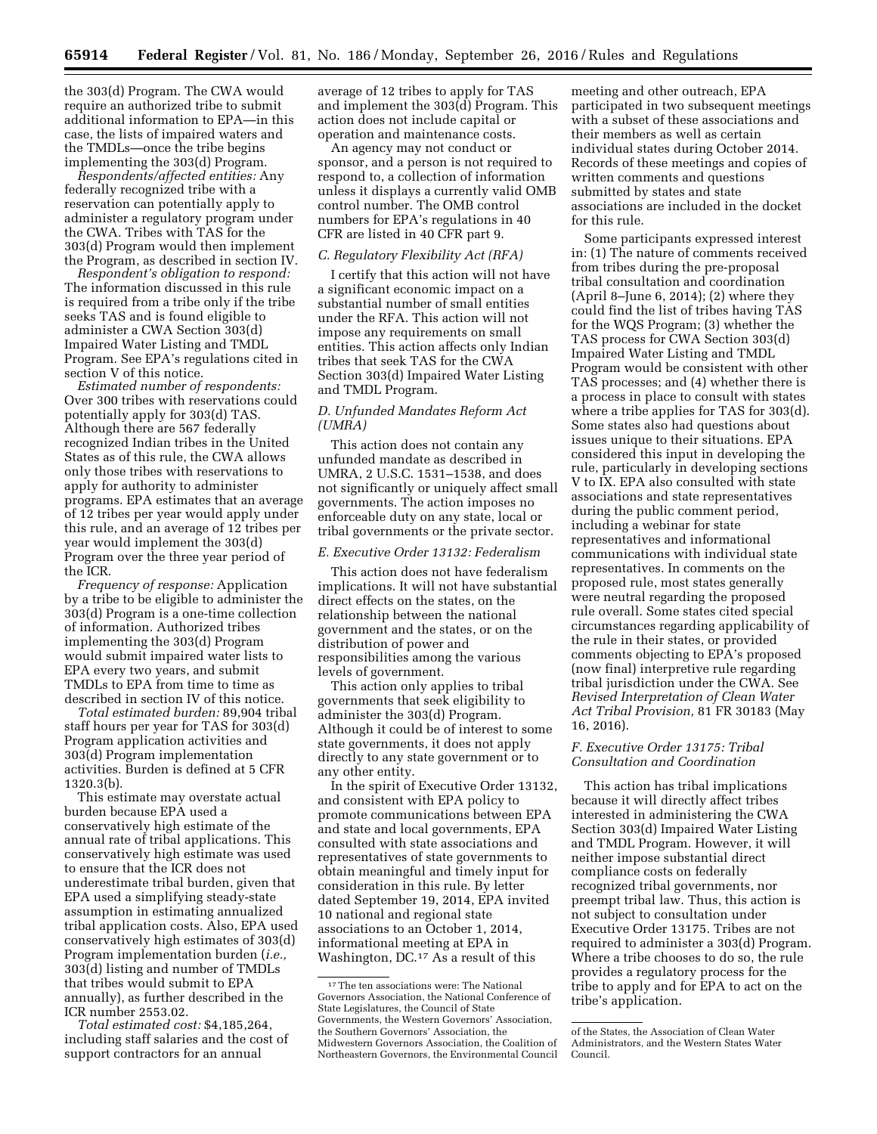the 303(d) Program. The CWA would require an authorized tribe to submit additional information to EPA—in this case, the lists of impaired waters and the TMDLs—once the tribe begins implementing the 303(d) Program.

*Respondents/affected entities:* Any federally recognized tribe with a reservation can potentially apply to administer a regulatory program under the CWA. Tribes with TAS for the 303(d) Program would then implement the Program, as described in section IV.

*Respondent's obligation to respond:*  The information discussed in this rule is required from a tribe only if the tribe seeks TAS and is found eligible to administer a CWA Section 303(d) Impaired Water Listing and TMDL Program. See EPA's regulations cited in section V of this notice.

*Estimated number of respondents:*  Over 300 tribes with reservations could potentially apply for 303(d) TAS. Although there are 567 federally recognized Indian tribes in the United States as of this rule, the CWA allows only those tribes with reservations to apply for authority to administer programs. EPA estimates that an average of 12 tribes per year would apply under this rule, and an average of 12 tribes per year would implement the 303(d) Program over the three year period of the ICR.

*Frequency of response:* Application by a tribe to be eligible to administer the 303(d) Program is a one-time collection of information. Authorized tribes implementing the 303(d) Program would submit impaired water lists to EPA every two years, and submit TMDLs to EPA from time to time as described in section IV of this notice.

*Total estimated burden:* 89,904 tribal staff hours per year for TAS for 303(d) Program application activities and 303(d) Program implementation activities. Burden is defined at 5 CFR 1320.3(b).

This estimate may overstate actual burden because EPA used a conservatively high estimate of the annual rate of tribal applications. This conservatively high estimate was used to ensure that the ICR does not underestimate tribal burden, given that EPA used a simplifying steady-state assumption in estimating annualized tribal application costs. Also, EPA used conservatively high estimates of 303(d) Program implementation burden (*i.e.,*  303(d) listing and number of TMDLs that tribes would submit to EPA annually), as further described in the ICR number 2553.02.

*Total estimated cost:* \$4,185,264, including staff salaries and the cost of support contractors for an annual

average of 12 tribes to apply for TAS and implement the 303(d) Program. This action does not include capital or operation and maintenance costs.

An agency may not conduct or sponsor, and a person is not required to respond to, a collection of information unless it displays a currently valid OMB control number. The OMB control numbers for EPA's regulations in 40 CFR are listed in 40 CFR part 9.

#### *C. Regulatory Flexibility Act (RFA)*

I certify that this action will not have a significant economic impact on a substantial number of small entities under the RFA. This action will not impose any requirements on small entities. This action affects only Indian tribes that seek TAS for the CWA Section 303(d) Impaired Water Listing and TMDL Program.

## *D. Unfunded Mandates Reform Act (UMRA)*

This action does not contain any unfunded mandate as described in UMRA, 2 U.S.C. 1531–1538, and does not significantly or uniquely affect small governments. The action imposes no enforceable duty on any state, local or tribal governments or the private sector.

## *E. Executive Order 13132: Federalism*

This action does not have federalism implications. It will not have substantial direct effects on the states, on the relationship between the national government and the states, or on the distribution of power and responsibilities among the various levels of government.

This action only applies to tribal governments that seek eligibility to administer the 303(d) Program. Although it could be of interest to some state governments, it does not apply directly to any state government or to any other entity.

In the spirit of Executive Order 13132, and consistent with EPA policy to promote communications between EPA and state and local governments, EPA consulted with state associations and representatives of state governments to obtain meaningful and timely input for consideration in this rule. By letter dated September 19, 2014, EPA invited 10 national and regional state associations to an October 1, 2014, informational meeting at EPA in Washington, DC.17 As a result of this

meeting and other outreach, EPA participated in two subsequent meetings with a subset of these associations and their members as well as certain individual states during October 2014. Records of these meetings and copies of written comments and questions submitted by states and state associations are included in the docket for this rule.

Some participants expressed interest in: (1) The nature of comments received from tribes during the pre-proposal tribal consultation and coordination (April 8–June 6, 2014); (2) where they could find the list of tribes having TAS for the WQS Program; (3) whether the TAS process for CWA Section 303(d) Impaired Water Listing and TMDL Program would be consistent with other TAS processes; and (4) whether there is a process in place to consult with states where a tribe applies for TAS for 303(d). Some states also had questions about issues unique to their situations. EPA considered this input in developing the rule, particularly in developing sections V to IX. EPA also consulted with state associations and state representatives during the public comment period, including a webinar for state representatives and informational communications with individual state representatives. In comments on the proposed rule, most states generally were neutral regarding the proposed rule overall. Some states cited special circumstances regarding applicability of the rule in their states, or provided comments objecting to EPA's proposed (now final) interpretive rule regarding tribal jurisdiction under the CWA. See *Revised Interpretation of Clean Water Act Tribal Provision,* 81 FR 30183 (May 16, 2016).

## *F. Executive Order 13175: Tribal Consultation and Coordination*

This action has tribal implications because it will directly affect tribes interested in administering the CWA Section 303(d) Impaired Water Listing and TMDL Program. However, it will neither impose substantial direct compliance costs on federally recognized tribal governments, nor preempt tribal law. Thus, this action is not subject to consultation under Executive Order 13175. Tribes are not required to administer a 303(d) Program. Where a tribe chooses to do so, the rule provides a regulatory process for the tribe to apply and for EPA to act on the tribe's application.

<sup>17</sup>The ten associations were: The National Governors Association, the National Conference of State Legislatures, the Council of State Governments, the Western Governors' Association, the Southern Governors' Association, the Midwestern Governors Association, the Coalition of Northeastern Governors, the Environmental Council

of the States, the Association of Clean Water Administrators, and the Western States Water Council.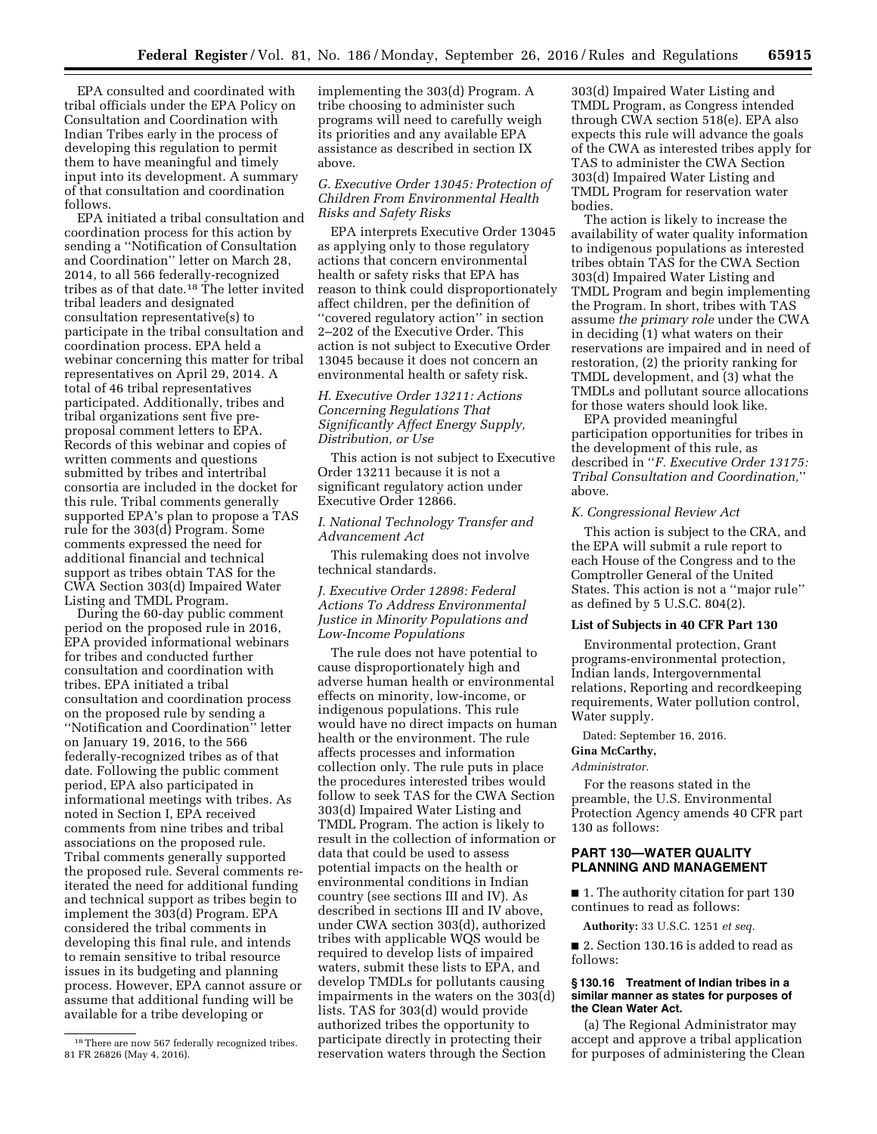EPA consulted and coordinated with tribal officials under the EPA Policy on Consultation and Coordination with Indian Tribes early in the process of developing this regulation to permit them to have meaningful and timely input into its development. A summary of that consultation and coordination follows.

EPA initiated a tribal consultation and coordination process for this action by sending a ''Notification of Consultation and Coordination'' letter on March 28, 2014, to all 566 federally-recognized tribes as of that date.18 The letter invited tribal leaders and designated consultation representative(s) to participate in the tribal consultation and coordination process. EPA held a webinar concerning this matter for tribal representatives on April 29, 2014. A total of 46 tribal representatives participated. Additionally, tribes and tribal organizations sent five preproposal comment letters to EPA. Records of this webinar and copies of written comments and questions submitted by tribes and intertribal consortia are included in the docket for this rule. Tribal comments generally supported EPA's plan to propose a TAS rule for the 303(d) Program. Some comments expressed the need for additional financial and technical support as tribes obtain TAS for the CWA Section 303(d) Impaired Water Listing and TMDL Program.

During the 60-day public comment period on the proposed rule in 2016, EPA provided informational webinars for tribes and conducted further consultation and coordination with tribes. EPA initiated a tribal consultation and coordination process on the proposed rule by sending a ''Notification and Coordination'' letter on January 19, 2016, to the 566 federally-recognized tribes as of that date. Following the public comment period, EPA also participated in informational meetings with tribes. As noted in Section I, EPA received comments from nine tribes and tribal associations on the proposed rule. Tribal comments generally supported the proposed rule. Several comments reiterated the need for additional funding and technical support as tribes begin to implement the 303(d) Program. EPA considered the tribal comments in developing this final rule, and intends to remain sensitive to tribal resource issues in its budgeting and planning process. However, EPA cannot assure or assume that additional funding will be available for a tribe developing or

implementing the 303(d) Program. A tribe choosing to administer such programs will need to carefully weigh its priorities and any available EPA assistance as described in section IX above.

## *G. Executive Order 13045: Protection of Children From Environmental Health Risks and Safety Risks*

EPA interprets Executive Order 13045 as applying only to those regulatory actions that concern environmental health or safety risks that EPA has reason to think could disproportionately affect children, per the definition of ''covered regulatory action'' in section 2–202 of the Executive Order. This action is not subject to Executive Order 13045 because it does not concern an environmental health or safety risk.

# *H. Executive Order 13211: Actions Concerning Regulations That Significantly Affect Energy Supply, Distribution, or Use*

This action is not subject to Executive Order 13211 because it is not a significant regulatory action under Executive Order 12866.

# *I. National Technology Transfer and Advancement Act*

This rulemaking does not involve technical standards.

*J. Executive Order 12898: Federal Actions To Address Environmental Justice in Minority Populations and Low-Income Populations* 

The rule does not have potential to cause disproportionately high and adverse human health or environmental effects on minority, low-income, or indigenous populations. This rule would have no direct impacts on human health or the environment. The rule affects processes and information collection only. The rule puts in place the procedures interested tribes would follow to seek TAS for the CWA Section 303(d) Impaired Water Listing and TMDL Program. The action is likely to result in the collection of information or data that could be used to assess potential impacts on the health or environmental conditions in Indian country (see sections III and IV). As described in sections III and IV above, under CWA section 303(d), authorized tribes with applicable WQS would be required to develop lists of impaired waters, submit these lists to EPA, and develop TMDLs for pollutants causing impairments in the waters on the 303(d) lists. TAS for 303(d) would provide authorized tribes the opportunity to participate directly in protecting their reservation waters through the Section

303(d) Impaired Water Listing and TMDL Program, as Congress intended through CWA section 518(e). EPA also expects this rule will advance the goals of the CWA as interested tribes apply for TAS to administer the CWA Section 303(d) Impaired Water Listing and TMDL Program for reservation water bodies.

The action is likely to increase the availability of water quality information to indigenous populations as interested tribes obtain TAS for the CWA Section 303(d) Impaired Water Listing and TMDL Program and begin implementing the Program. In short, tribes with TAS assume *the primary role* under the CWA in deciding (1) what waters on their reservations are impaired and in need of restoration, (2) the priority ranking for TMDL development, and (3) what the TMDLs and pollutant source allocations for those waters should look like.

EPA provided meaningful participation opportunities for tribes in the development of this rule, as described in ''*F. Executive Order 13175: Tribal Consultation and Coordination,*'' above.

### *K. Congressional Review Act*

This action is subject to the CRA, and the EPA will submit a rule report to each House of the Congress and to the Comptroller General of the United States. This action is not a ''major rule'' as defined by 5 U.S.C. 804(2).

## **List of Subjects in 40 CFR Part 130**

Environmental protection, Grant programs-environmental protection, Indian lands, Intergovernmental relations, Reporting and recordkeeping requirements, Water pollution control, Water supply.

Dated: September 16, 2016.

# **Gina McCarthy,**

### *Administrator.*

For the reasons stated in the preamble, the U.S. Environmental Protection Agency amends 40 CFR part 130 as follows:

# **PART 130—WATER QUALITY PLANNING AND MANAGEMENT**

■ 1. The authority citation for part 130 continues to read as follows:

**Authority:** 33 U.S.C. 1251 *et seq.* 

■ 2. Section 130.16 is added to read as follows:

### **§ 130.16 Treatment of Indian tribes in a similar manner as states for purposes of the Clean Water Act.**

(a) The Regional Administrator may accept and approve a tribal application for purposes of administering the Clean

<sup>18</sup>There are now 567 federally recognized tribes. 81 FR 26826 (May 4, 2016).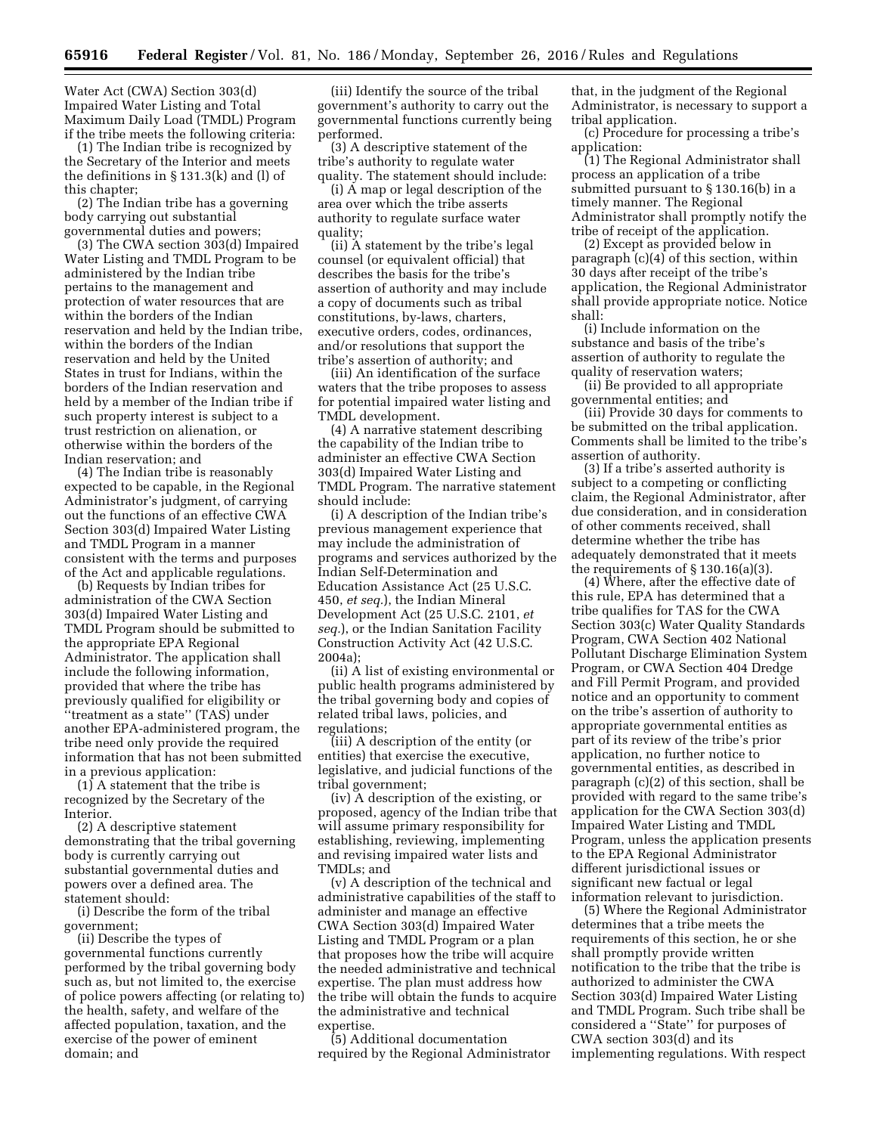Water Act (CWA) Section 303(d) Impaired Water Listing and Total Maximum Daily Load (TMDL) Program if the tribe meets the following criteria:

(1) The Indian tribe is recognized by the Secretary of the Interior and meets the definitions in § 131.3(k) and (l) of this chapter;

(2) The Indian tribe has a governing body carrying out substantial governmental duties and powers;

(3) The CWA section 303(d) Impaired Water Listing and TMDL Program to be administered by the Indian tribe pertains to the management and protection of water resources that are within the borders of the Indian reservation and held by the Indian tribe, within the borders of the Indian reservation and held by the United States in trust for Indians, within the borders of the Indian reservation and held by a member of the Indian tribe if such property interest is subject to a trust restriction on alienation, or otherwise within the borders of the Indian reservation; and

(4) The Indian tribe is reasonably expected to be capable, in the Regional Administrator's judgment, of carrying out the functions of an effective CWA Section 303(d) Impaired Water Listing and TMDL Program in a manner consistent with the terms and purposes of the Act and applicable regulations.

(b) Requests by Indian tribes for administration of the CWA Section 303(d) Impaired Water Listing and TMDL Program should be submitted to the appropriate EPA Regional Administrator. The application shall include the following information, provided that where the tribe has previously qualified for eligibility or ''treatment as a state'' (TAS) under another EPA-administered program, the tribe need only provide the required information that has not been submitted in a previous application:

(1) A statement that the tribe is recognized by the Secretary of the Interior.

(2) A descriptive statement demonstrating that the tribal governing body is currently carrying out substantial governmental duties and powers over a defined area. The statement should:

(i) Describe the form of the tribal government;

(ii) Describe the types of governmental functions currently performed by the tribal governing body such as, but not limited to, the exercise of police powers affecting (or relating to) the health, safety, and welfare of the affected population, taxation, and the exercise of the power of eminent domain; and

(iii) Identify the source of the tribal government's authority to carry out the governmental functions currently being performed.

(3) A descriptive statement of the tribe's authority to regulate water quality. The statement should include:

(i) A map or legal description of the area over which the tribe asserts authority to regulate surface water quality;

(ii) A statement by the tribe's legal counsel (or equivalent official) that describes the basis for the tribe's assertion of authority and may include a copy of documents such as tribal constitutions, by-laws, charters, executive orders, codes, ordinances, and/or resolutions that support the tribe's assertion of authority; and

(iii) An identification of the surface waters that the tribe proposes to assess for potential impaired water listing and TMDL development.

(4) A narrative statement describing the capability of the Indian tribe to administer an effective CWA Section 303(d) Impaired Water Listing and TMDL Program. The narrative statement should include:

(i) A description of the Indian tribe's previous management experience that may include the administration of programs and services authorized by the Indian Self-Determination and Education Assistance Act (25 U.S.C. 450, *et seq.*), the Indian Mineral Development Act (25 U.S.C. 2101, *et seq.*), or the Indian Sanitation Facility Construction Activity Act (42 U.S.C. 2004a);

(ii) A list of existing environmental or public health programs administered by the tribal governing body and copies of related tribal laws, policies, and regulations;

(iii) A description of the entity (or entities) that exercise the executive, legislative, and judicial functions of the tribal government;

(iv) A description of the existing, or proposed, agency of the Indian tribe that will assume primary responsibility for establishing, reviewing, implementing and revising impaired water lists and TMDLs; and

(v) A description of the technical and administrative capabilities of the staff to administer and manage an effective CWA Section 303(d) Impaired Water Listing and TMDL Program or a plan that proposes how the tribe will acquire the needed administrative and technical expertise. The plan must address how the tribe will obtain the funds to acquire the administrative and technical expertise.

(5) Additional documentation required by the Regional Administrator that, in the judgment of the Regional Administrator, is necessary to support a tribal application.

(c) Procedure for processing a tribe's application:

(1) The Regional Administrator shall process an application of a tribe submitted pursuant to § 130.16(b) in a timely manner. The Regional Administrator shall promptly notify the tribe of receipt of the application.

(2) Except as provided below in paragraph (c)(4) of this section, within 30 days after receipt of the tribe's application, the Regional Administrator shall provide appropriate notice. Notice shall:

(i) Include information on the substance and basis of the tribe's assertion of authority to regulate the quality of reservation waters;

(ii) Be provided to all appropriate governmental entities; and

(iii) Provide 30 days for comments to be submitted on the tribal application. Comments shall be limited to the tribe's assertion of authority.

(3) If a tribe's asserted authority is subject to a competing or conflicting claim, the Regional Administrator, after due consideration, and in consideration of other comments received, shall determine whether the tribe has adequately demonstrated that it meets the requirements of  $\S 130.16(a)(3)$ .

(4) Where, after the effective date of this rule, EPA has determined that a tribe qualifies for TAS for the CWA Section 303(c) Water Quality Standards Program, CWA Section 402 National Pollutant Discharge Elimination System Program, or CWA Section 404 Dredge and Fill Permit Program, and provided notice and an opportunity to comment on the tribe's assertion of authority to appropriate governmental entities as part of its review of the tribe's prior application, no further notice to governmental entities, as described in paragraph (c)(2) of this section, shall be provided with regard to the same tribe's application for the CWA Section 303(d) Impaired Water Listing and TMDL Program, unless the application presents to the EPA Regional Administrator different jurisdictional issues or significant new factual or legal information relevant to jurisdiction.

(5) Where the Regional Administrator determines that a tribe meets the requirements of this section, he or she shall promptly provide written notification to the tribe that the tribe is authorized to administer the CWA Section 303(d) Impaired Water Listing and TMDL Program. Such tribe shall be considered a ''State'' for purposes of CWA section 303(d) and its implementing regulations. With respect